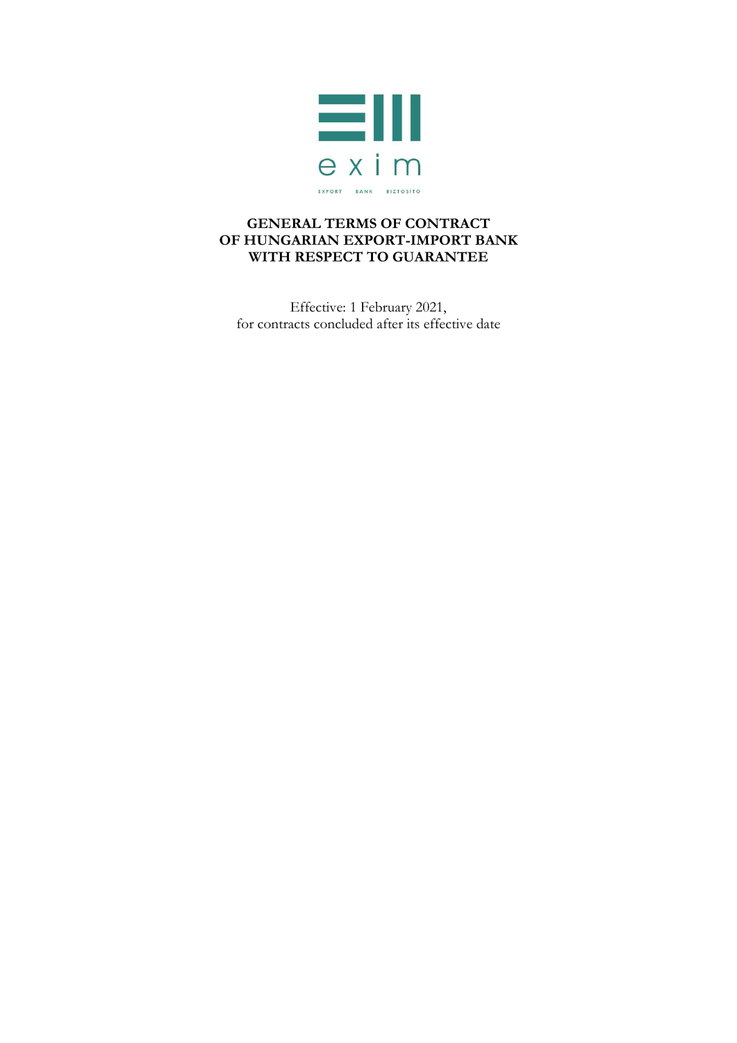

## **GENERAL TERMS OF CONTRACT OF HUNGARIAN EXPORT-IMPORT BANK WITH RESPECT TO GUARANTEE**

Effective: 1 February 2021, for contracts concluded after its effective date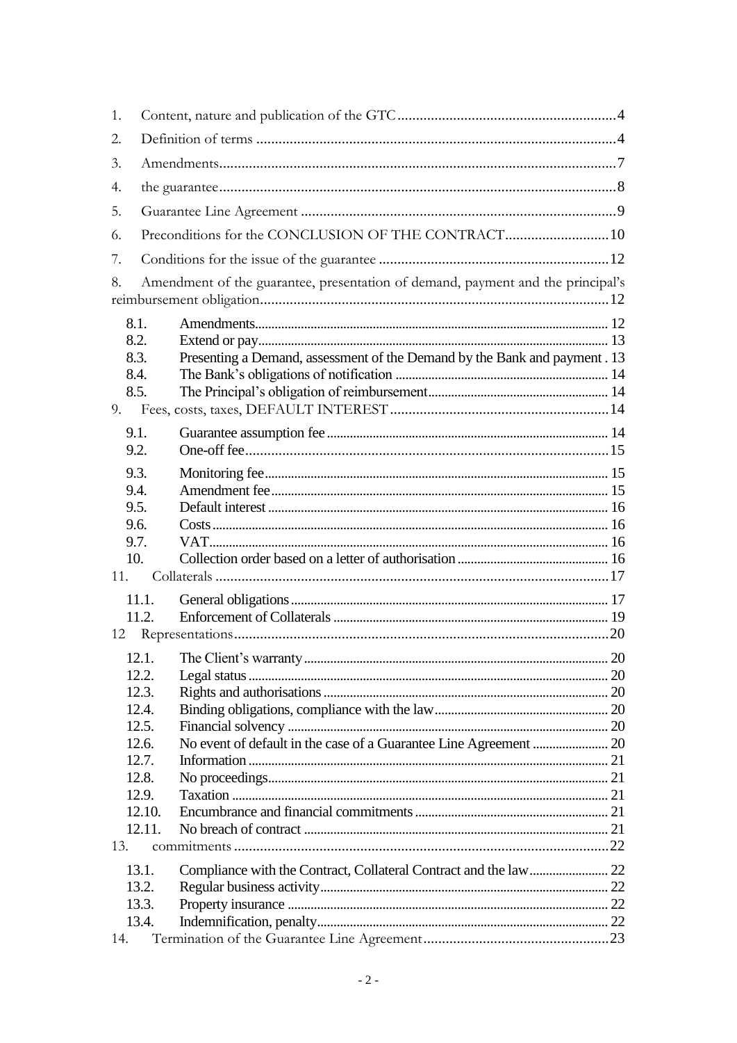| 1.   |              |                                                                                 |  |  |  |
|------|--------------|---------------------------------------------------------------------------------|--|--|--|
| 2.   |              |                                                                                 |  |  |  |
| 3.   |              |                                                                                 |  |  |  |
| 4.   |              |                                                                                 |  |  |  |
| 5.   |              |                                                                                 |  |  |  |
| 6.   |              |                                                                                 |  |  |  |
| 7.   |              |                                                                                 |  |  |  |
| 8.   |              | Amendment of the guarantee, presentation of demand, payment and the principal's |  |  |  |
|      |              |                                                                                 |  |  |  |
|      | 8.1.         |                                                                                 |  |  |  |
|      | 8.2.         |                                                                                 |  |  |  |
|      | 8.3.<br>8.4. | Presenting a Demand, assessment of the Demand by the Bank and payment . 13      |  |  |  |
|      | 8.5.         |                                                                                 |  |  |  |
| 9.   |              |                                                                                 |  |  |  |
|      |              |                                                                                 |  |  |  |
| 9.1. |              |                                                                                 |  |  |  |
| 9.2. |              |                                                                                 |  |  |  |
| 9.3. |              |                                                                                 |  |  |  |
| 9.4. |              |                                                                                 |  |  |  |
| 9.5. |              |                                                                                 |  |  |  |
| 9.6. |              |                                                                                 |  |  |  |
| 9.7. |              |                                                                                 |  |  |  |
| 10.  |              |                                                                                 |  |  |  |
| 11.  |              |                                                                                 |  |  |  |
|      | 11.1.        |                                                                                 |  |  |  |
|      | 11.2.        |                                                                                 |  |  |  |
| 12   |              |                                                                                 |  |  |  |
|      |              |                                                                                 |  |  |  |
|      | 12.2.        |                                                                                 |  |  |  |
|      | 12.3.        |                                                                                 |  |  |  |
|      | 12.4.        |                                                                                 |  |  |  |
|      | 12.5.        |                                                                                 |  |  |  |
|      | 12.6.        |                                                                                 |  |  |  |
|      | 12.7.        |                                                                                 |  |  |  |
|      | 12.8.        |                                                                                 |  |  |  |
|      | 12.9.        |                                                                                 |  |  |  |
|      | 12.10.       |                                                                                 |  |  |  |
|      | 12.11.       |                                                                                 |  |  |  |
| 13.  |              |                                                                                 |  |  |  |
|      | 13.1.        |                                                                                 |  |  |  |
|      | 13.2.        |                                                                                 |  |  |  |
|      | 13.3.        |                                                                                 |  |  |  |
|      | 13.4.        |                                                                                 |  |  |  |
| 14.  |              |                                                                                 |  |  |  |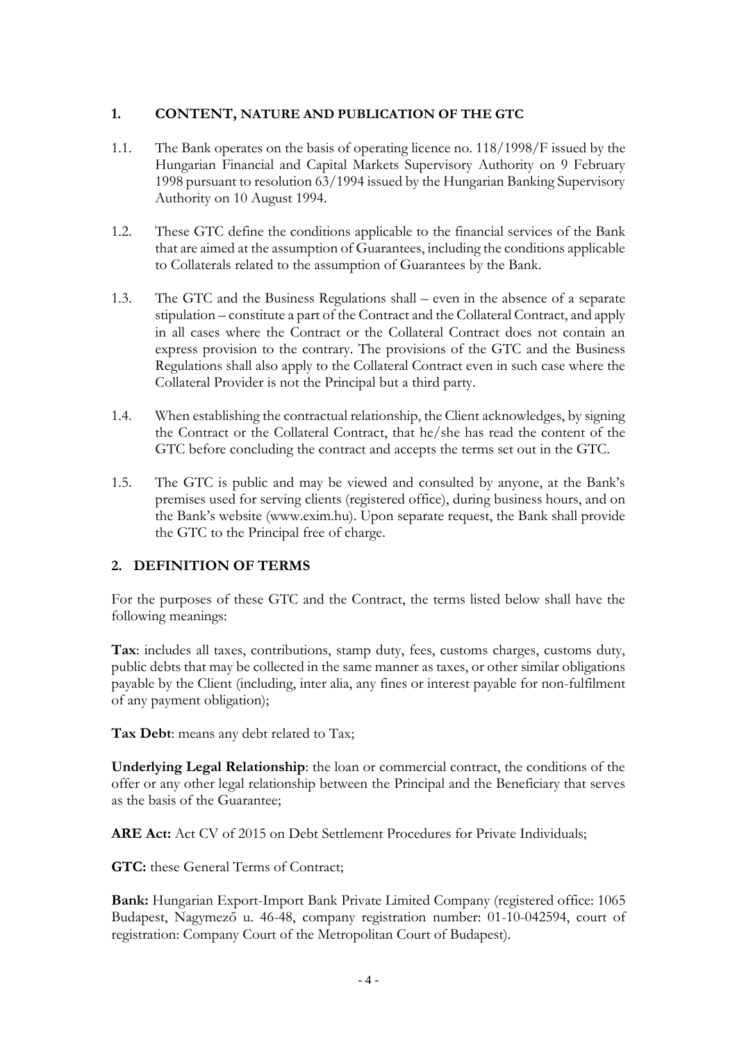## <span id="page-3-0"></span>**1. CONTENT, NATURE AND PUBLICATION OF THE GTC**

- 1.1. The Bank operates on the basis of operating licence no. 118/1998/F issued by the Hungarian Financial and Capital Markets Supervisory Authority on 9 February 1998 pursuant to resolution 63/1994 issued by the Hungarian Banking Supervisory Authority on 10 August 1994.
- 1.2. These GTC define the conditions applicable to the financial services of the Bank that are aimed at the assumption of Guarantees, including the conditions applicable to Collaterals related to the assumption of Guarantees by the Bank.
- 1.3. The GTC and the Business Regulations shall even in the absence of a separate stipulation – constitute a part of the Contract and the Collateral Contract, and apply in all cases where the Contract or the Collateral Contract does not contain an express provision to the contrary. The provisions of the GTC and the Business Regulations shall also apply to the Collateral Contract even in such case where the Collateral Provider is not the Principal but a third party.
- 1.4. When establishing the contractual relationship, the Client acknowledges, by signing the Contract or the Collateral Contract, that he/she has read the content of the GTC before concluding the contract and accepts the terms set out in the GTC.
- 1.5. The GTC is public and may be viewed and consulted by anyone, at the Bank's premises used for serving clients (registered office), during business hours, and on the Bank's website (www.exim.hu). Upon separate request, the Bank shall provide the GTC to the Principal free of charge.

# <span id="page-3-1"></span>**2. DEFINITION OF TERMS**

For the purposes of these GTC and the Contract, the terms listed below shall have the following meanings:

**Tax**: includes all taxes, contributions, stamp duty, fees, customs charges, customs duty, public debts that may be collected in the same manner as taxes, or other similar obligations payable by the Client (including, inter alia, any fines or interest payable for non-fulfilment of any payment obligation);

**Tax Debt**: means any debt related to Tax;

**Underlying Legal Relationship**: the loan or commercial contract, the conditions of the offer or any other legal relationship between the Principal and the Beneficiary that serves as the basis of the Guarantee;

**ARE Act:** Act CV of 2015 on Debt Settlement Procedures for Private Individuals;

**GTC:** these General Terms of Contract;

**Bank:** Hungarian Export-Import Bank Private Limited Company (registered office: 1065 Budapest, Nagymező u. 46-48, company registration number: 01-10-042594, court of registration: Company Court of the Metropolitan Court of Budapest).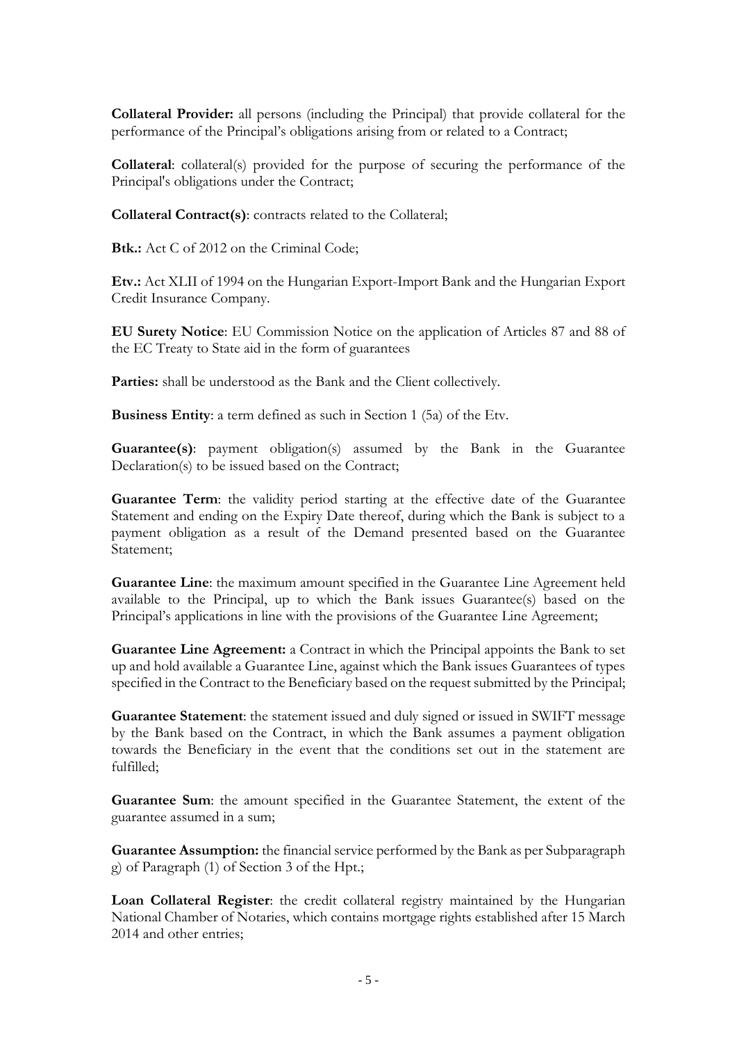**Collateral Provider:** all persons (including the Principal) that provide collateral for the performance of the Principal's obligations arising from or related to a Contract;

**Collateral**: collateral(s) provided for the purpose of securing the performance of the Principal's obligations under the Contract;

**Collateral Contract(s)**: contracts related to the Collateral;

**Btk.:** Act C of 2012 on the Criminal Code;

**Etv.:** Act XLII of 1994 on the Hungarian Export-Import Bank and the Hungarian Export Credit Insurance Company.

**EU Surety Notice**: EU Commission Notice on the application of Articles 87 and 88 of the EC Treaty to State aid in the form of guarantees

Parties: shall be understood as the Bank and the Client collectively.

**Business Entity**: a term defined as such in Section 1 (5a) of the Etv.

**Guarantee(s)**: payment obligation(s) assumed by the Bank in the Guarantee Declaration(s) to be issued based on the Contract;

Guarantee Term: the validity period starting at the effective date of the Guarantee Statement and ending on the Expiry Date thereof, during which the Bank is subject to a payment obligation as a result of the Demand presented based on the Guarantee Statement;

**Guarantee Line**: the maximum amount specified in the Guarantee Line Agreement held available to the Principal, up to which the Bank issues Guarantee(s) based on the Principal's applications in line with the provisions of the Guarantee Line Agreement;

**Guarantee Line Agreement:** a Contract in which the Principal appoints the Bank to set up and hold available a Guarantee Line, against which the Bank issues Guarantees of types specified in the Contract to the Beneficiary based on the request submitted by the Principal;

**Guarantee Statement**: the statement issued and duly signed or issued in SWIFT message by the Bank based on the Contract, in which the Bank assumes a payment obligation towards the Beneficiary in the event that the conditions set out in the statement are fulfilled;

**Guarantee Sum**: the amount specified in the Guarantee Statement, the extent of the guarantee assumed in a sum;

**Guarantee Assumption:** the financial service performed by the Bank as per Subparagraph g) of Paragraph (1) of Section 3 of the Hpt.;

**Loan Collateral Register**: the credit collateral registry maintained by the Hungarian National Chamber of Notaries, which contains mortgage rights established after 15 March 2014 and other entries;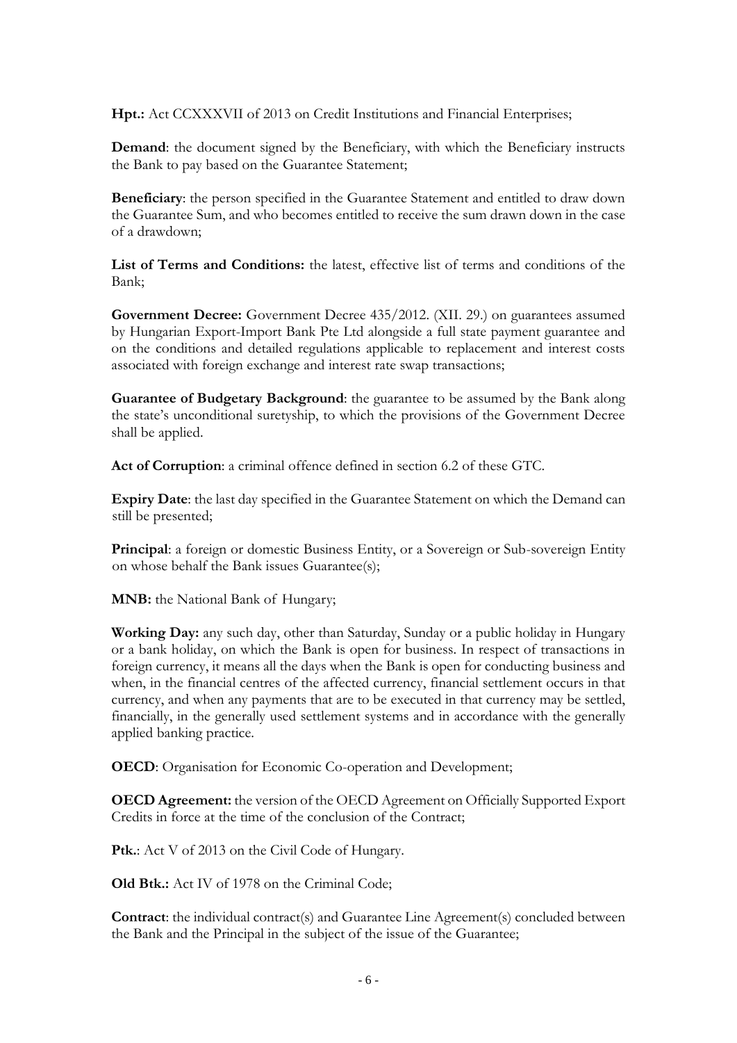**Hpt.:** Act CCXXXVII of 2013 on Credit Institutions and Financial Enterprises;

**Demand**: the document signed by the Beneficiary, with which the Beneficiary instructs the Bank to pay based on the Guarantee Statement;

**Beneficiary**: the person specified in the Guarantee Statement and entitled to draw down the Guarantee Sum, and who becomes entitled to receive the sum drawn down in the case of a drawdown;

**List of Terms and Conditions:** the latest, effective list of terms and conditions of the Bank;

**Government Decree:** Government Decree 435/2012. (XII. 29.) on guarantees assumed by Hungarian Export-Import Bank Pte Ltd alongside a full state payment guarantee and on the conditions and detailed regulations applicable to replacement and interest costs associated with foreign exchange and interest rate swap transactions;

**Guarantee of Budgetary Background**: the guarantee to be assumed by the Bank along the state's unconditional suretyship, to which the provisions of the Government Decree shall be applied.

**Act of Corruption**: a criminal offence defined in section 6.2 of these GTC.

**Expiry Date**: the last day specified in the Guarantee Statement on which the Demand can still be presented;

**Principal:** a foreign or domestic Business Entity, or a Sovereign or Sub-sovereign Entity on whose behalf the Bank issues Guarantee(s);

**MNB:** the National Bank of Hungary;

**Working Day:** any such day, other than Saturday, Sunday or a public holiday in Hungary or a bank holiday, on which the Bank is open for business. In respect of transactions in foreign currency, it means all the days when the Bank is open for conducting business and when, in the financial centres of the affected currency, financial settlement occurs in that currency, and when any payments that are to be executed in that currency may be settled, financially, in the generally used settlement systems and in accordance with the generally applied banking practice.

**OECD**: Organisation for Economic Co-operation and Development;

**OECD Agreement:** the version of the OECD Agreement on Officially Supported Export Credits in force at the time of the conclusion of the Contract;

**Ptk.**: Act V of 2013 on the Civil Code of Hungary.

**Old Btk.:** Act IV of 1978 on the Criminal Code;

**Contract:** the individual contract(s) and Guarantee Line Agreement(s) concluded between the Bank and the Principal in the subject of the issue of the Guarantee;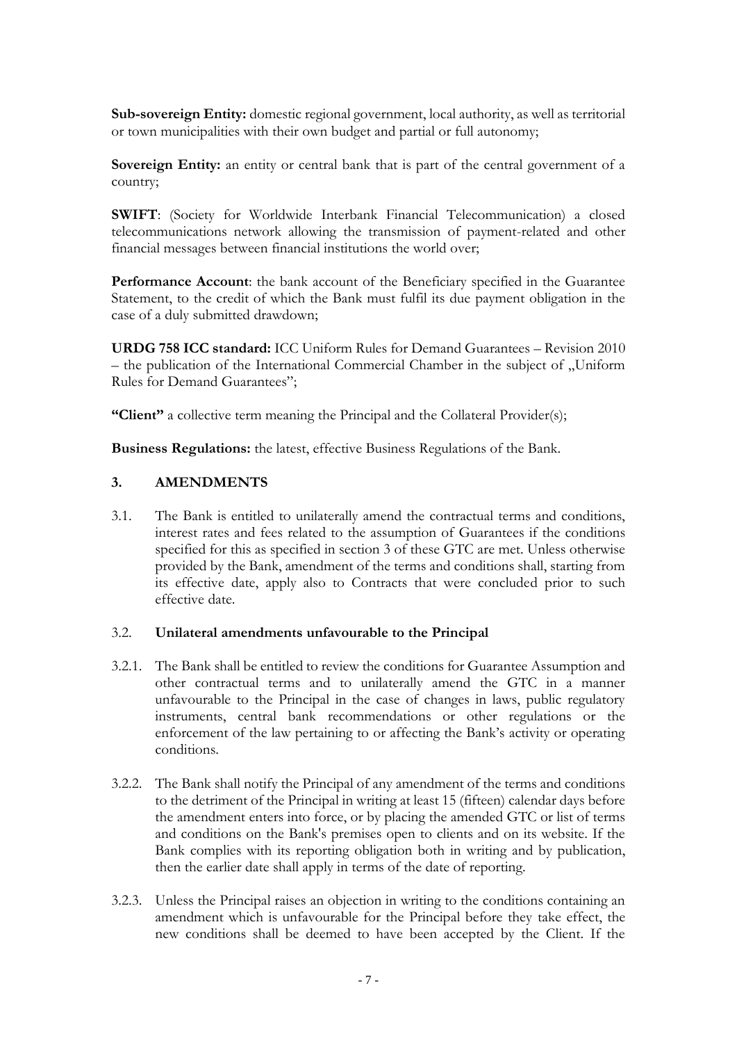**Sub-sovereign Entity:** domestic regional government, local authority, as well as territorial or town municipalities with their own budget and partial or full autonomy;

**Sovereign Entity:** an entity or central bank that is part of the central government of a country;

**SWIFT**: (Society for Worldwide Interbank Financial Telecommunication) a closed telecommunications network allowing the transmission of payment-related and other financial messages between financial institutions the world over;

**Performance Account**: the bank account of the Beneficiary specified in the Guarantee Statement, to the credit of which the Bank must fulfil its due payment obligation in the case of a duly submitted drawdown;

**URDG 758 ICC standard:** ICC Uniform Rules for Demand Guarantees – Revision 2010  $-$  the publication of the International Commercial Chamber in the subject of "Uniform Rules for Demand Guarantees";

**"Client"** a collective term meaning the Principal and the Collateral Provider(s);

**Business Regulations:** the latest, effective Business Regulations of the Bank.

# <span id="page-6-0"></span>**3. AMENDMENTS**

3.1. The Bank is entitled to unilaterally amend the contractual terms and conditions, interest rates and fees related to the assumption of Guarantees if the conditions specified for this as specified in section 3 of these GTC are met. Unless otherwise provided by the Bank, amendment of the terms and conditions shall, starting from its effective date, apply also to Contracts that were concluded prior to such effective date.

#### 3.2. **Unilateral amendments unfavourable to the Principal**

- 3.2.1. The Bank shall be entitled to review the conditions for Guarantee Assumption and other contractual terms and to unilaterally amend the GTC in a manner unfavourable to the Principal in the case of changes in laws, public regulatory instruments, central bank recommendations or other regulations or the enforcement of the law pertaining to or affecting the Bank's activity or operating conditions.
- 3.2.2. The Bank shall notify the Principal of any amendment of the terms and conditions to the detriment of the Principal in writing at least 15 (fifteen) calendar days before the amendment enters into force, or by placing the amended GTC or list of terms and conditions on the Bank's premises open to clients and on its website. If the Bank complies with its reporting obligation both in writing and by publication, then the earlier date shall apply in terms of the date of reporting.
- 3.2.3. Unless the Principal raises an objection in writing to the conditions containing an amendment which is unfavourable for the Principal before they take effect, the new conditions shall be deemed to have been accepted by the Client. If the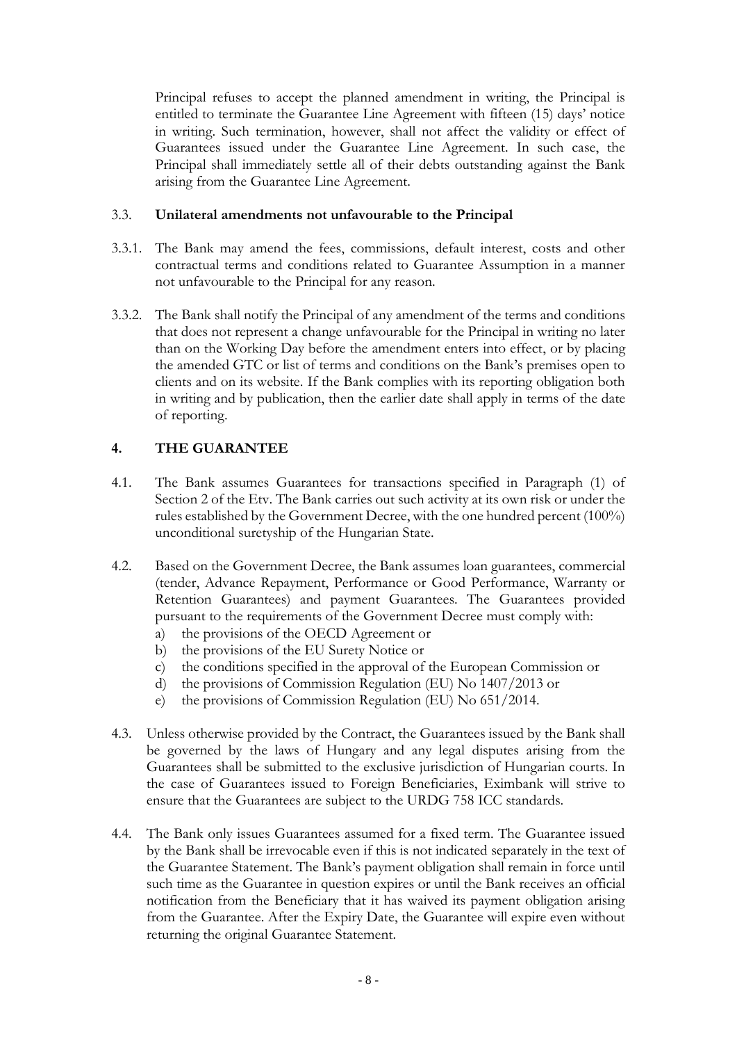Principal refuses to accept the planned amendment in writing, the Principal is entitled to terminate the Guarantee Line Agreement with fifteen (15) days' notice in writing. Such termination, however, shall not affect the validity or effect of Guarantees issued under the Guarantee Line Agreement. In such case, the Principal shall immediately settle all of their debts outstanding against the Bank arising from the Guarantee Line Agreement.

#### 3.3. **Unilateral amendments not unfavourable to the Principal**

- 3.3.1. The Bank may amend the fees, commissions, default interest, costs and other contractual terms and conditions related to Guarantee Assumption in a manner not unfavourable to the Principal for any reason.
- 3.3.2. The Bank shall notify the Principal of any amendment of the terms and conditions that does not represent a change unfavourable for the Principal in writing no later than on the Working Day before the amendment enters into effect, or by placing the amended GTC or list of terms and conditions on the Bank's premises open to clients and on its website. If the Bank complies with its reporting obligation both in writing and by publication, then the earlier date shall apply in terms of the date of reporting.

# <span id="page-7-0"></span>**4. THE GUARANTEE**

- 4.1. The Bank assumes Guarantees for transactions specified in Paragraph (1) of Section 2 of the Etv. The Bank carries out such activity at its own risk or under the rules established by the Government Decree, with the one hundred percent (100%) unconditional suretyship of the Hungarian State.
- 4.2. Based on the Government Decree, the Bank assumes loan guarantees, commercial (tender, Advance Repayment, Performance or Good Performance, Warranty or Retention Guarantees) and payment Guarantees. The Guarantees provided pursuant to the requirements of the Government Decree must comply with:
	- a) the provisions of the OECD Agreement or
	- b) the provisions of the EU Surety Notice or
	- c) the conditions specified in the approval of the European Commission or
	- d) the provisions of Commission Regulation (EU) No 1407/2013 or
	- e) the provisions of Commission Regulation (EU) No 651/2014.
- 4.3. Unless otherwise provided by the Contract, the Guarantees issued by the Bank shall be governed by the laws of Hungary and any legal disputes arising from the Guarantees shall be submitted to the exclusive jurisdiction of Hungarian courts. In the case of Guarantees issued to Foreign Beneficiaries, Eximbank will strive to ensure that the Guarantees are subject to the URDG 758 ICC standards.
- 4.4. The Bank only issues Guarantees assumed for a fixed term. The Guarantee issued by the Bank shall be irrevocable even if this is not indicated separately in the text of the Guarantee Statement. The Bank's payment obligation shall remain in force until such time as the Guarantee in question expires or until the Bank receives an official notification from the Beneficiary that it has waived its payment obligation arising from the Guarantee. After the Expiry Date, the Guarantee will expire even without returning the original Guarantee Statement.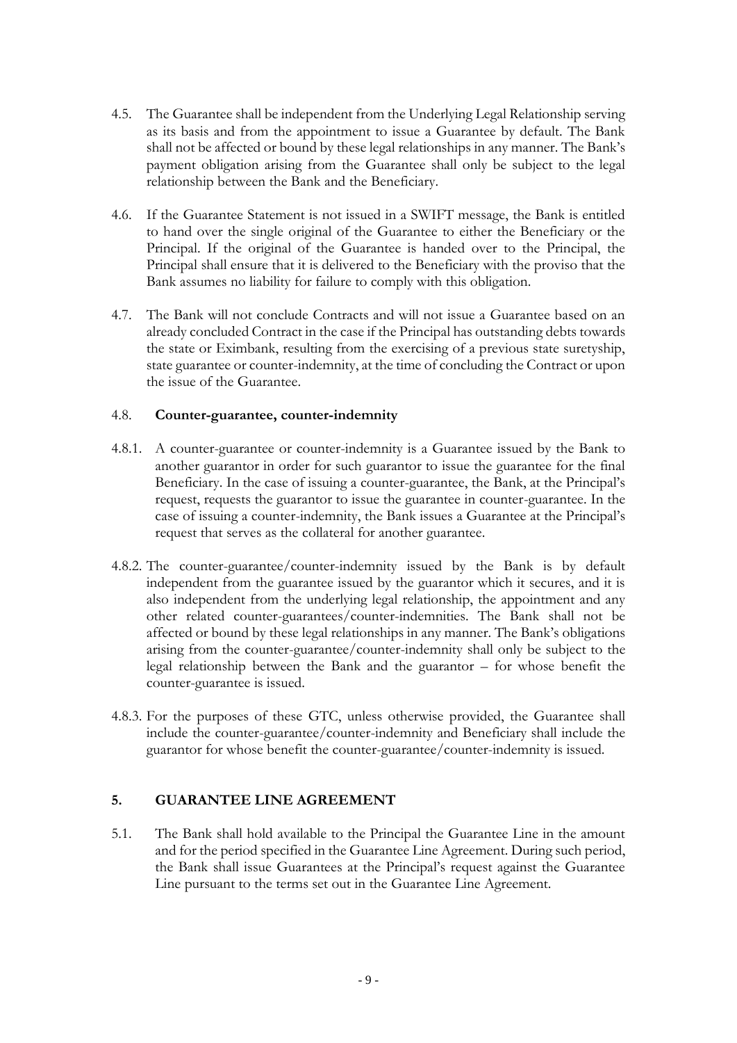- 4.5. The Guarantee shall be independent from the Underlying Legal Relationship serving as its basis and from the appointment to issue a Guarantee by default. The Bank shall not be affected or bound by these legal relationships in any manner. The Bank's payment obligation arising from the Guarantee shall only be subject to the legal relationship between the Bank and the Beneficiary.
- 4.6. If the Guarantee Statement is not issued in a SWIFT message, the Bank is entitled to hand over the single original of the Guarantee to either the Beneficiary or the Principal. If the original of the Guarantee is handed over to the Principal, the Principal shall ensure that it is delivered to the Beneficiary with the proviso that the Bank assumes no liability for failure to comply with this obligation.
- 4.7. The Bank will not conclude Contracts and will not issue a Guarantee based on an already concluded Contract in the case if the Principal has outstanding debts towards the state or Eximbank, resulting from the exercising of a previous state suretyship, state guarantee or counter-indemnity, at the time of concluding the Contract or upon the issue of the Guarantee.

#### 4.8. **Counter-guarantee, counter-indemnity**

- 4.8.1. A counter-guarantee or counter-indemnity is a Guarantee issued by the Bank to another guarantor in order for such guarantor to issue the guarantee for the final Beneficiary. In the case of issuing a counter-guarantee, the Bank, at the Principal's request, requests the guarantor to issue the guarantee in counter-guarantee. In the case of issuing a counter-indemnity, the Bank issues a Guarantee at the Principal's request that serves as the collateral for another guarantee.
- 4.8.2. The counter-guarantee/counter-indemnity issued by the Bank is by default independent from the guarantee issued by the guarantor which it secures, and it is also independent from the underlying legal relationship, the appointment and any other related counter-guarantees/counter-indemnities. The Bank shall not be affected or bound by these legal relationships in any manner. The Bank's obligations arising from the counter-guarantee/counter-indemnity shall only be subject to the legal relationship between the Bank and the guarantor – for whose benefit the counter-guarantee is issued.
- 4.8.3. For the purposes of these GTC, unless otherwise provided, the Guarantee shall include the counter-guarantee/counter-indemnity and Beneficiary shall include the guarantor for whose benefit the counter-guarantee/counter-indemnity is issued.

# <span id="page-8-0"></span>**5. GUARANTEE LINE AGREEMENT**

5.1. The Bank shall hold available to the Principal the Guarantee Line in the amount and for the period specified in the Guarantee Line Agreement. During such period, the Bank shall issue Guarantees at the Principal's request against the Guarantee Line pursuant to the terms set out in the Guarantee Line Agreement.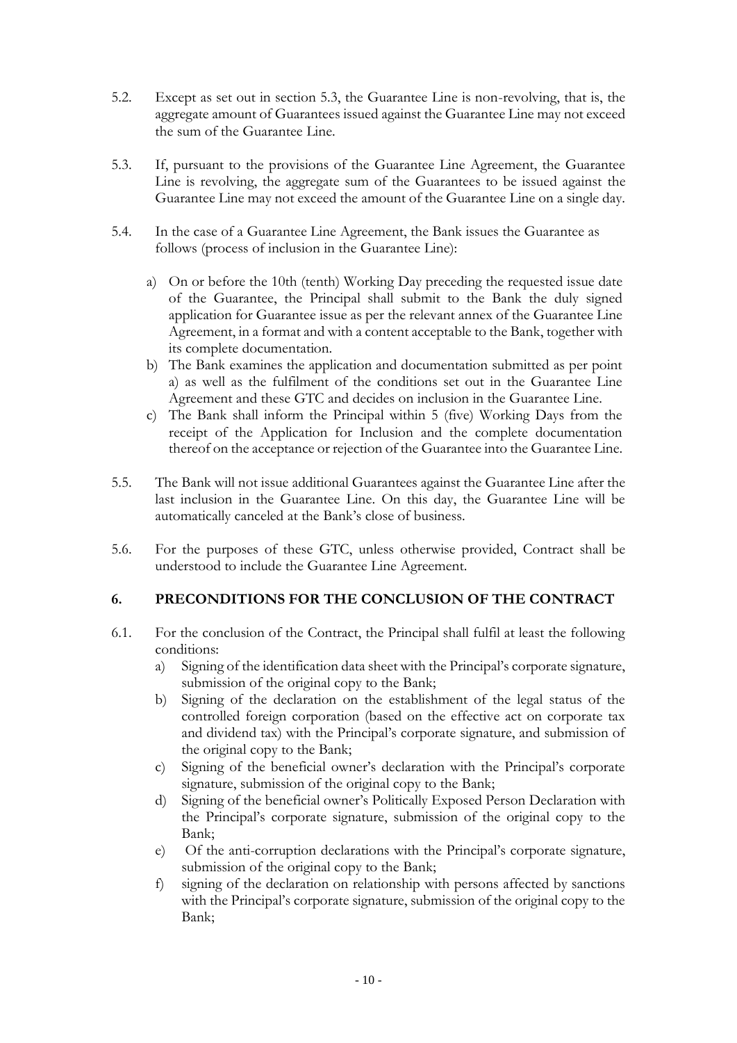- 5.2. Except as set out in section 5.3, the Guarantee Line is non-revolving, that is, the aggregate amount of Guarantees issued against the Guarantee Line may not exceed the sum of the Guarantee Line.
- 5.3. If, pursuant to the provisions of the Guarantee Line Agreement, the Guarantee Line is revolving, the aggregate sum of the Guarantees to be issued against the Guarantee Line may not exceed the amount of the Guarantee Line on a single day.
- 5.4. In the case of a Guarantee Line Agreement, the Bank issues the Guarantee as follows (process of inclusion in the Guarantee Line):
	- a) On or before the 10th (tenth) Working Day preceding the requested issue date of the Guarantee, the Principal shall submit to the Bank the duly signed application for Guarantee issue as per the relevant annex of the Guarantee Line Agreement, in a format and with a content acceptable to the Bank, together with its complete documentation.
	- b) The Bank examines the application and documentation submitted as per point a) as well as the fulfilment of the conditions set out in the Guarantee Line Agreement and these GTC and decides on inclusion in the Guarantee Line.
	- c) The Bank shall inform the Principal within 5 (five) Working Days from the receipt of the Application for Inclusion and the complete documentation thereof on the acceptance or rejection of the Guarantee into the Guarantee Line.
- 5.5. The Bank will not issue additional Guarantees against the Guarantee Line after the last inclusion in the Guarantee Line. On this day, the Guarantee Line will be automatically canceled at the Bank's close of business.
- 5.6. For the purposes of these GTC, unless otherwise provided, Contract shall be understood to include the Guarantee Line Agreement.

# <span id="page-9-0"></span>**6. PRECONDITIONS FOR THE CONCLUSION OF THE CONTRACT**

- 6.1. For the conclusion of the Contract, the Principal shall fulfil at least the following conditions:
	- a) Signing of the identification data sheet with the Principal's corporate signature, submission of the original copy to the Bank;
	- b) Signing of the declaration on the establishment of the legal status of the controlled foreign corporation (based on the effective act on corporate tax and dividend tax) with the Principal's corporate signature, and submission of the original copy to the Bank;
	- c) Signing of the beneficial owner's declaration with the Principal's corporate signature, submission of the original copy to the Bank;
	- d) Signing of the beneficial owner's Politically Exposed Person Declaration with the Principal's corporate signature, submission of the original copy to the Bank;
	- e) Of the anti-corruption declarations with the Principal's corporate signature, submission of the original copy to the Bank;
	- f) signing of the declaration on relationship with persons affected by sanctions with the Principal's corporate signature, submission of the original copy to the Bank;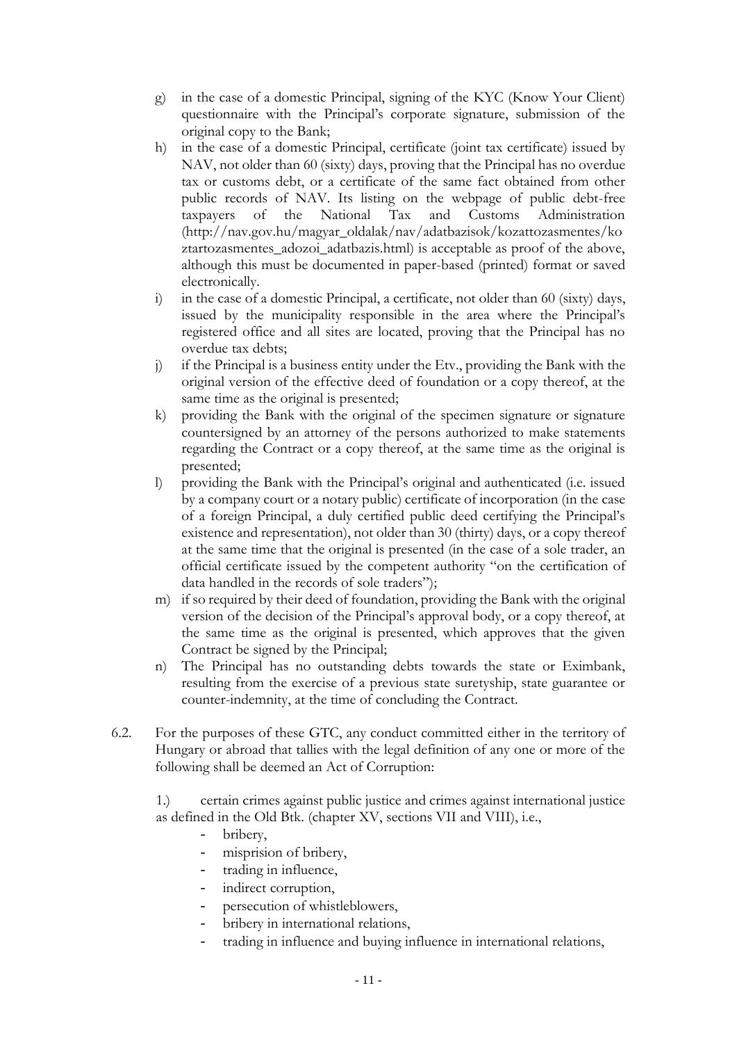- g) in the case of a domestic Principal, signing of the KYC (Know Your Client) questionnaire with the Principal's corporate signature, submission of the original copy to the Bank;
- h) in the case of a domestic Principal, certificate (joint tax certificate) issued by NAV, not older than 60 (sixty) days, proving that the Principal has no overdue tax or customs debt, or a certificate of the same fact obtained from other public records of NAV. Its listing on the webpage of public debt-free taxpayers of the National Tax and Customs Administration (http://nav.gov.hu/magyar\_oldalak/nav/adatbazisok/kozattozasmentes/ko ztartozasmentes\_adozoi\_adatbazis.html) is acceptable as proof of the above, although this must be documented in paper-based (printed) format or saved electronically.
- i) in the case of a domestic Principal, a certificate, not older than 60 (sixty) days, issued by the municipality responsible in the area where the Principal's registered office and all sites are located, proving that the Principal has no overdue tax debts;
- j) if the Principal is a business entity under the Etv., providing the Bank with the original version of the effective deed of foundation or a copy thereof, at the same time as the original is presented;
- k) providing the Bank with the original of the specimen signature or signature countersigned by an attorney of the persons authorized to make statements regarding the Contract or a copy thereof, at the same time as the original is presented;
- l) providing the Bank with the Principal's original and authenticated (i.e. issued by a company court or a notary public) certificate of incorporation (in the case of a foreign Principal, a duly certified public deed certifying the Principal's existence and representation), not older than 30 (thirty) days, or a copy thereof at the same time that the original is presented (in the case of a sole trader, an official certificate issued by the competent authority "on the [certification of](http://www.nyilvantarto.hu/letoltes/hb_iranti_kerelem-illetekmentes.doc)  [data handled in the records of sole traders"](http://www.nyilvantarto.hu/letoltes/hb_iranti_kerelem-illetekmentes.doc));
- m) if so required by their deed of foundation, providing the Bank with the original version of the decision of the Principal's approval body, or a copy thereof, at the same time as the original is presented, which approves that the given Contract be signed by the Principal;
- n) The Principal has no outstanding debts towards the state or Eximbank, resulting from the exercise of a previous state suretyship, state guarantee or counter-indemnity, at the time of concluding the Contract.
- 6.2. For the purposes of these GTC, any conduct committed either in the territory of Hungary or abroad that tallies with the legal definition of any one or more of the following shall be deemed an Act of Corruption:

1.) certain crimes against public justice and crimes against international justice as defined in the Old Btk. (chapter XV, sections VII and VIII), i.e.,

- bribery,
- misprision of bribery,
- trading in influence,
- indirect corruption,
- persecution of whistleblowers,
- bribery in international relations,
- trading in influence and buying influence in international relations,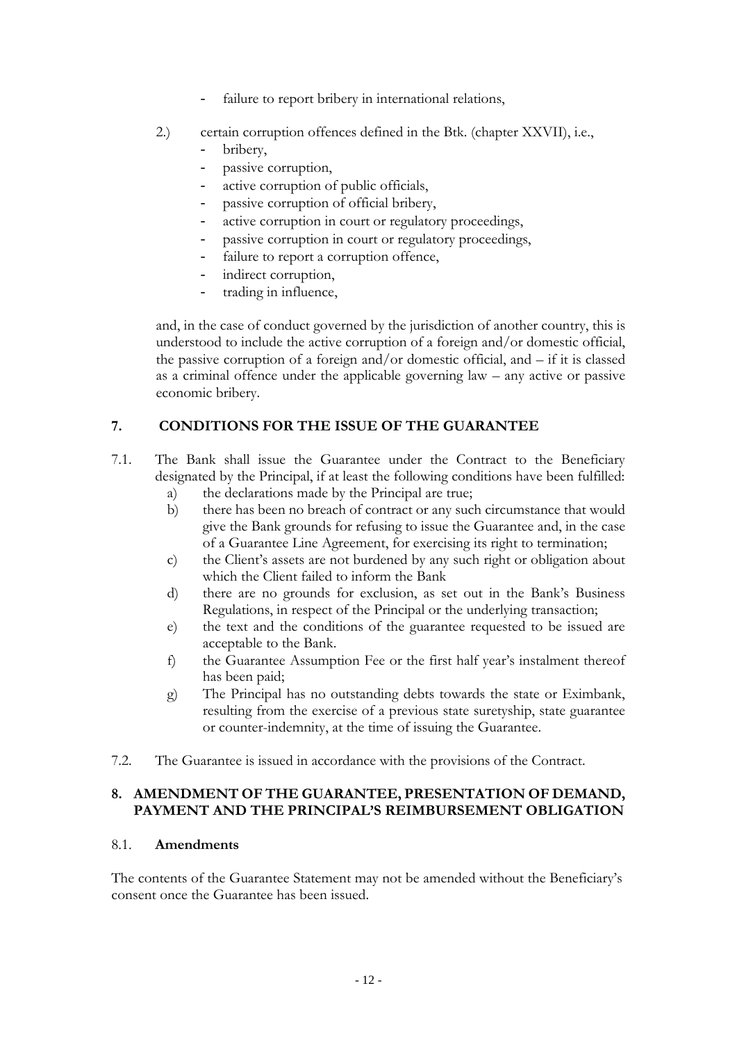- failure to report bribery in international relations,
- 2.) certain corruption offences defined in the Btk. (chapter XXVII), i.e.,
	- bribery,
	- passive corruption,
	- active corruption of public officials,
	- passive corruption of official bribery,
	- active corruption in court or regulatory proceedings,
	- passive corruption in court or regulatory proceedings,
	- failure to report a corruption offence,
	- indirect corruption,
	- trading in influence,

and, in the case of conduct governed by the jurisdiction of another country, this is understood to include the active corruption of a foreign and/or domestic official, the passive corruption of a foreign and/or domestic official, and – if it is classed as a criminal offence under the applicable governing law – any active or passive economic bribery.

# <span id="page-11-0"></span>**7. CONDITIONS FOR THE ISSUE OF THE GUARANTEE**

- 7.1. The Bank shall issue the Guarantee under the Contract to the Beneficiary designated by the Principal, if at least the following conditions have been fulfilled:
	- a) the declarations made by the Principal are true; b) there has been no breach of contract or any such circumstance that would
	- give the Bank grounds for refusing to issue the Guarantee and, in the case of a Guarantee Line Agreement, for exercising its right to termination;
	- c) the Client's assets are not burdened by any such right or obligation about which the Client failed to inform the Bank
	- d) there are no grounds for exclusion, as set out in the Bank's Business Regulations, in respect of the Principal or the underlying transaction;
	- e) the text and the conditions of the guarantee requested to be issued are acceptable to the Bank.
	- f) the Guarantee Assumption Fee or the first half year's instalment thereof has been paid;
	- g) The Principal has no outstanding debts towards the state or Eximbank, resulting from the exercise of a previous state suretyship, state guarantee or counter-indemnity, at the time of issuing the Guarantee.
- 7.2. The Guarantee is issued in accordance with the provisions of the Contract.

## <span id="page-11-1"></span>**8. AMENDMENT OF THE GUARANTEE, PRESENTATION OF DEMAND, PAYMENT AND THE PRINCIPAL'S REIMBURSEMENT OBLIGATION**

#### <span id="page-11-2"></span>8.1. **Amendments**

The contents of the Guarantee Statement may not be amended without the Beneficiary's consent once the Guarantee has been issued.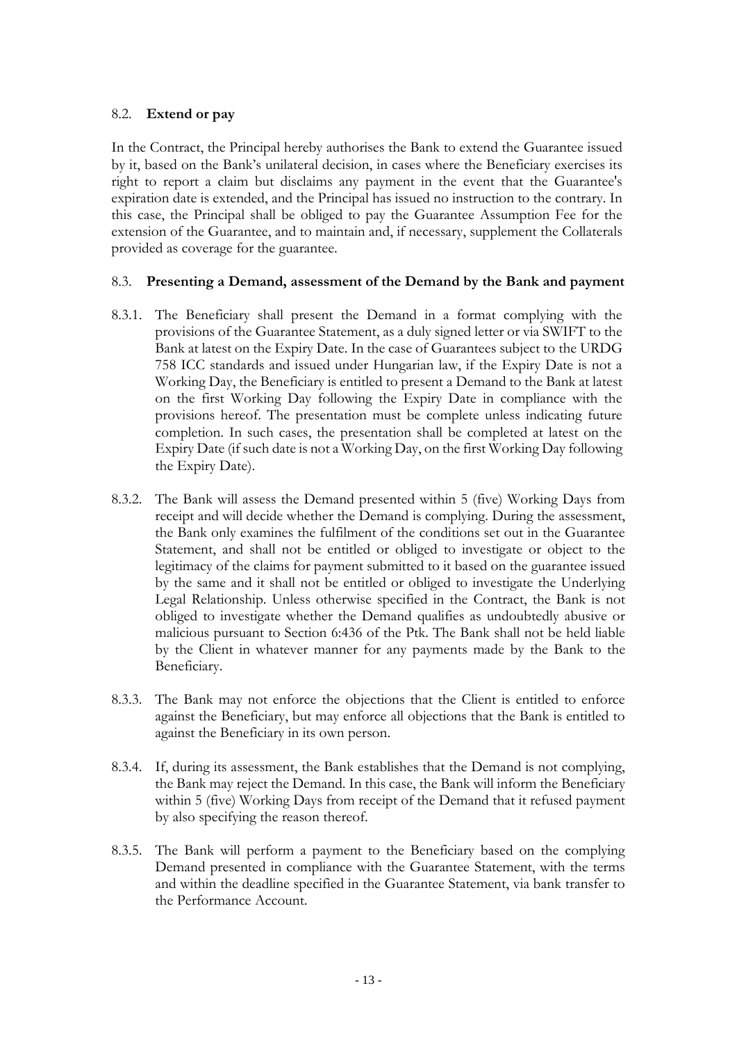## <span id="page-12-0"></span>8.2. **Extend or pay**

In the Contract, the Principal hereby authorises the Bank to extend the Guarantee issued by it, based on the Bank's unilateral decision, in cases where the Beneficiary exercises its right to report a claim but disclaims any payment in the event that the Guarantee's expiration date is extended, and the Principal has issued no instruction to the contrary. In this case, the Principal shall be obliged to pay the Guarantee Assumption Fee for the extension of the Guarantee, and to maintain and, if necessary, supplement the Collaterals provided as coverage for the guarantee.

## <span id="page-12-1"></span>8.3. **Presenting a Demand, assessment of the Demand by the Bank and payment**

- 8.3.1. The Beneficiary shall present the Demand in a format complying with the provisions of the Guarantee Statement, as a duly signed letter or via SWIFT to the Bank at latest on the Expiry Date. In the case of Guarantees subject to the URDG 758 ICC standards and issued under Hungarian law, if the Expiry Date is not a Working Day, the Beneficiary is entitled to present a Demand to the Bank at latest on the first Working Day following the Expiry Date in compliance with the provisions hereof. The presentation must be complete unless indicating future completion. In such cases, the presentation shall be completed at latest on the Expiry Date (if such date is not a Working Day, on the first Working Day following the Expiry Date).
- 8.3.2. The Bank will assess the Demand presented within 5 (five) Working Days from receipt and will decide whether the Demand is complying. During the assessment, the Bank only examines the fulfilment of the conditions set out in the Guarantee Statement, and shall not be entitled or obliged to investigate or object to the legitimacy of the claims for payment submitted to it based on the guarantee issued by the same and it shall not be entitled or obliged to investigate the Underlying Legal Relationship. Unless otherwise specified in the Contract, the Bank is not obliged to investigate whether the Demand qualifies as undoubtedly abusive or malicious pursuant to Section 6:436 of the Ptk. The Bank shall not be held liable by the Client in whatever manner for any payments made by the Bank to the Beneficiary.
- 8.3.3. The Bank may not enforce the objections that the Client is entitled to enforce against the Beneficiary, but may enforce all objections that the Bank is entitled to against the Beneficiary in its own person.
- 8.3.4. If, during its assessment, the Bank establishes that the Demand is not complying, the Bank may reject the Demand. In this case, the Bank will inform the Beneficiary within 5 (five) Working Days from receipt of the Demand that it refused payment by also specifying the reason thereof.
- 8.3.5. The Bank will perform a payment to the Beneficiary based on the complying Demand presented in compliance with the Guarantee Statement, with the terms and within the deadline specified in the Guarantee Statement, via bank transfer to the Performance Account.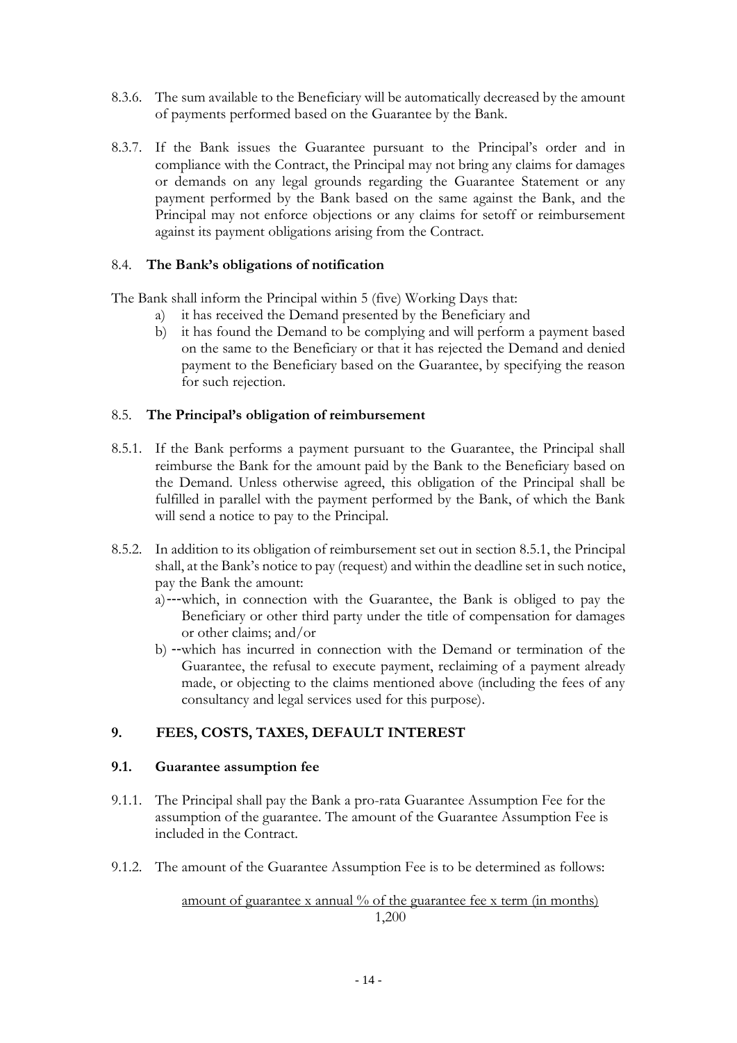- 8.3.6. The sum available to the Beneficiary will be automatically decreased by the amount of payments performed based on the Guarantee by the Bank.
- 8.3.7. If the Bank issues the Guarantee pursuant to the Principal's order and in compliance with the Contract, the Principal may not bring any claims for damages or demands on any legal grounds regarding the Guarantee Statement or any payment performed by the Bank based on the same against the Bank, and the Principal may not enforce objections or any claims for setoff or reimbursement against its payment obligations arising from the Contract.

#### <span id="page-13-0"></span>8.4. **The Bank's obligations of notification**

The Bank shall inform the Principal within 5 (five) Working Days that:

- a) it has received the Demand presented by the Beneficiary and
- b) it has found the Demand to be complying and will perform a payment based on the same to the Beneficiary or that it has rejected the Demand and denied payment to the Beneficiary based on the Guarantee, by specifying the reason for such rejection.

## <span id="page-13-1"></span>8.5. **The Principal's obligation of reimbursement**

- 8.5.1. If the Bank performs a payment pursuant to the Guarantee, the Principal shall reimburse the Bank for the amount paid by the Bank to the Beneficiary based on the Demand. Unless otherwise agreed, this obligation of the Principal shall be fulfilled in parallel with the payment performed by the Bank, of which the Bank will send a notice to pay to the Principal.
- 8.5.2. In addition to its obligation of reimbursement set out in section 8.5.1, the Principal shall, at the Bank's notice to pay (request) and within the deadline set in such notice, pay the Bank the amount:
	- a)---which, in connection with the Guarantee, the Bank is obliged to pay the Beneficiary or other third party under the title of compensation for damages or other claims; and/or
	- b) --which has incurred in connection with the Demand or termination of the Guarantee, the refusal to execute payment, reclaiming of a payment already made, or objecting to the claims mentioned above (including the fees of any consultancy and legal services used for this purpose).

# <span id="page-13-2"></span>**9. FEES, COSTS, TAXES, DEFAULT INTEREST**

#### <span id="page-13-3"></span>**9.1. Guarantee assumption fee**

- 9.1.1. The Principal shall pay the Bank a pro-rata Guarantee Assumption Fee for the assumption of the guarantee. The amount of the Guarantee Assumption Fee is included in the Contract.
- 9.1.2. The amount of the Guarantee Assumption Fee is to be determined as follows:

#### amount of guarantee x annual % of the guarantee fee x term (in months) 1,200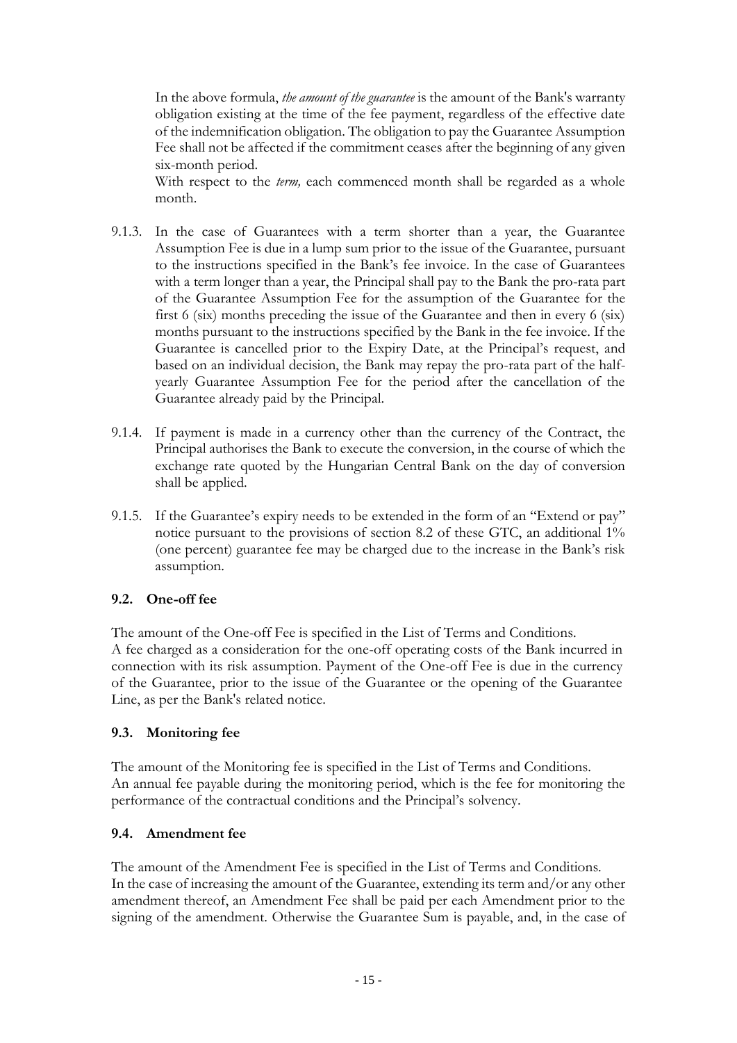In the above formula, *the amount of the guarantee* is the amount of the Bank's warranty obligation existing at the time of the fee payment, regardless of the effective date of the indemnification obligation. The obligation to pay the Guarantee Assumption Fee shall not be affected if the commitment ceases after the beginning of any given six-month period.

With respect to the *term*, each commenced month shall be regarded as a whole month.

- 9.1.3. In the case of Guarantees with a term shorter than a year, the Guarantee Assumption Fee is due in a lump sum prior to the issue of the Guarantee, pursuant to the instructions specified in the Bank's fee invoice. In the case of Guarantees with a term longer than a year, the Principal shall pay to the Bank the pro-rata part of the Guarantee Assumption Fee for the assumption of the Guarantee for the first 6 (six) months preceding the issue of the Guarantee and then in every 6 (six) months pursuant to the instructions specified by the Bank in the fee invoice. If the Guarantee is cancelled prior to the Expiry Date, at the Principal's request, and based on an individual decision, the Bank may repay the pro-rata part of the halfyearly Guarantee Assumption Fee for the period after the cancellation of the Guarantee already paid by the Principal.
- 9.1.4. If payment is made in a currency other than the currency of the Contract, the Principal authorises the Bank to execute the conversion, in the course of which the exchange rate quoted by the Hungarian Central Bank on the day of conversion shall be applied.
- 9.1.5. If the Guarantee's expiry needs to be extended in the form of an "Extend or pay" notice pursuant to the provisions of section 8.2 of these GTC, an additional 1% (one percent) guarantee fee may be charged due to the increase in the Bank's risk assumption.

# <span id="page-14-0"></span>**9.2. One-off fee**

The amount of the One-off Fee is specified in the List of Terms and Conditions. A fee charged as a consideration for the one-off operating costs of the Bank incurred in connection with its risk assumption. Payment of the One-off Fee is due in the currency of the Guarantee, prior to the issue of the Guarantee or the opening of the Guarantee Line, as per the Bank's related notice.

#### <span id="page-14-1"></span>**9.3. Monitoring fee**

The amount of the Monitoring fee is specified in the List of Terms and Conditions. An annual fee payable during the monitoring period, which is the fee for monitoring the performance of the contractual conditions and the Principal's solvency.

#### <span id="page-14-2"></span>**9.4. Amendment fee**

The amount of the Amendment Fee is specified in the List of Terms and Conditions. In the case of increasing the amount of the Guarantee, extending its term and/or any other amendment thereof, an Amendment Fee shall be paid per each Amendment prior to the signing of the amendment. Otherwise the Guarantee Sum is payable, and, in the case of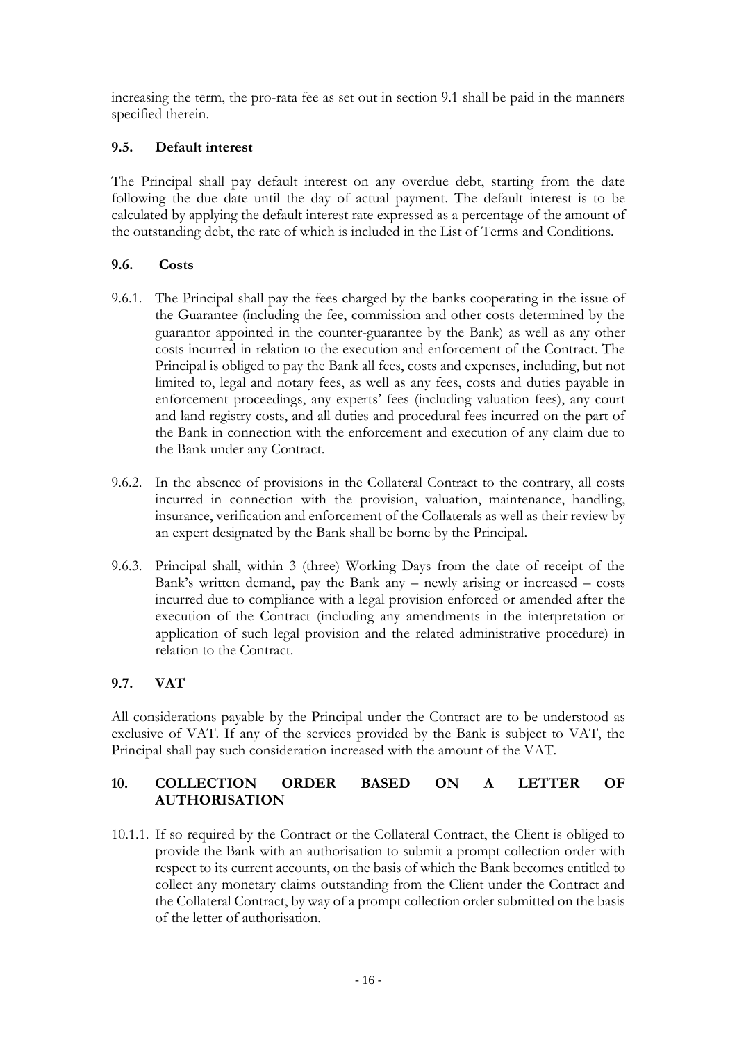increasing the term, the pro-rata fee as set out in section 9.1 shall be paid in the manners specified therein.

# <span id="page-15-0"></span>**9.5. Default interest**

The Principal shall pay default interest on any overdue debt, starting from the date following the due date until the day of actual payment. The default interest is to be calculated by applying the default interest rate expressed as a percentage of the amount of the outstanding debt, the rate of which is included in the List of Terms and Conditions.

## <span id="page-15-1"></span>**9.6. Costs**

- 9.6.1. The Principal shall pay the fees charged by the banks cooperating in the issue of the Guarantee (including the fee, commission and other costs determined by the guarantor appointed in the counter-guarantee by the Bank) as well as any other costs incurred in relation to the execution and enforcement of the Contract. The Principal is obliged to pay the Bank all fees, costs and expenses, including, but not limited to, legal and notary fees, as well as any fees, costs and duties payable in enforcement proceedings, any experts' fees (including valuation fees), any court and land registry costs, and all duties and procedural fees incurred on the part of the Bank in connection with the enforcement and execution of any claim due to the Bank under any Contract.
- 9.6.2. In the absence of provisions in the Collateral Contract to the contrary, all costs incurred in connection with the provision, valuation, maintenance, handling, insurance, verification and enforcement of the Collaterals as well as their review by an expert designated by the Bank shall be borne by the Principal.
- 9.6.3. Principal shall, within 3 (three) Working Days from the date of receipt of the Bank's written demand, pay the Bank any – newly arising or increased – costs incurred due to compliance with a legal provision enforced or amended after the execution of the Contract (including any amendments in the interpretation or application of such legal provision and the related administrative procedure) in relation to the Contract.

# <span id="page-15-2"></span>**9.7. VAT**

All considerations payable by the Principal under the Contract are to be understood as exclusive of VAT. If any of the services provided by the Bank is subject to VAT, the Principal shall pay such consideration increased with the amount of the VAT.

# <span id="page-15-3"></span>**10. COLLECTION ORDER BASED ON A LETTER OF AUTHORISATION**

10.1.1. If so required by the Contract or the Collateral Contract, the Client is obliged to provide the Bank with an authorisation to submit a prompt collection order with respect to its current accounts, on the basis of which the Bank becomes entitled to collect any monetary claims outstanding from the Client under the Contract and the Collateral Contract, by way of a prompt collection order submitted on the basis of the letter of authorisation.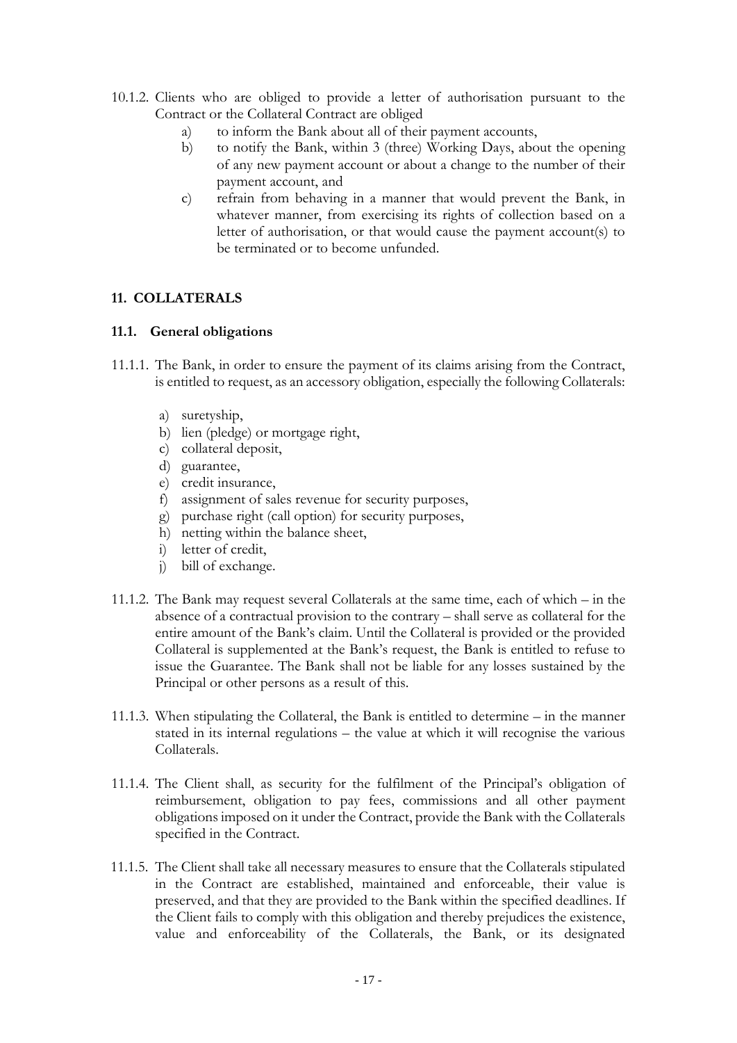- 10.1.2. Clients who are obliged to provide a letter of authorisation pursuant to the Contract or the Collateral Contract are obliged
	- a) to inform the Bank about all of their payment accounts,
	- b) to notify the Bank, within 3 (three) Working Days, about the opening of any new payment account or about a change to the number of their payment account, and
	- c) refrain from behaving in a manner that would prevent the Bank, in whatever manner, from exercising its rights of collection based on a letter of authorisation, or that would cause the payment account(s) to be terminated or to become unfunded.

# <span id="page-16-0"></span>**11. COLLATERALS**

## <span id="page-16-1"></span>**11.1. General obligations**

- 11.1.1. The Bank, in order to ensure the payment of its claims arising from the Contract, is entitled to request, as an accessory obligation, especially the following Collaterals:
	- a) suretyship,
	- b) lien (pledge) or mortgage right,
	- c) collateral deposit,
	- d) guarantee,
	- e) credit insurance,
	- f) assignment of sales revenue for security purposes,
	- g) purchase right (call option) for security purposes,
	- h) netting within the balance sheet,
	- i) letter of credit,
	- j) bill of exchange.
- 11.1.2. The Bank may request several Collaterals at the same time, each of which in the absence of a contractual provision to the contrary – shall serve as collateral for the entire amount of the Bank's claim. Until the Collateral is provided or the provided Collateral is supplemented at the Bank's request, the Bank is entitled to refuse to issue the Guarantee. The Bank shall not be liable for any losses sustained by the Principal or other persons as a result of this.
- 11.1.3. When stipulating the Collateral, the Bank is entitled to determine in the manner stated in its internal regulations – the value at which it will recognise the various Collaterals.
- 11.1.4. The Client shall, as security for the fulfilment of the Principal's obligation of reimbursement, obligation to pay fees, commissions and all other payment obligations imposed on it under the Contract, provide the Bank with the Collaterals specified in the Contract.
- 11.1.5. The Client shall take all necessary measures to ensure that the Collaterals stipulated in the Contract are established, maintained and enforceable, their value is preserved, and that they are provided to the Bank within the specified deadlines. If the Client fails to comply with this obligation and thereby prejudices the existence, value and enforceability of the Collaterals, the Bank, or its designated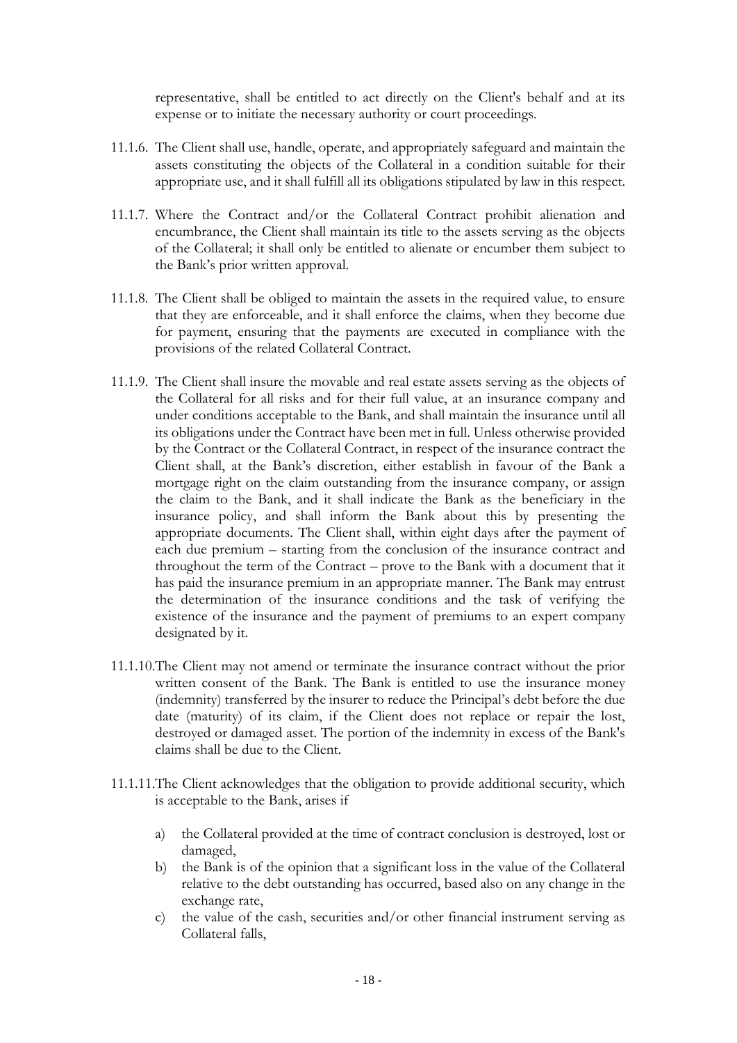representative, shall be entitled to act directly on the Client's behalf and at its expense or to initiate the necessary authority or court proceedings.

- 11.1.6. The Client shall use, handle, operate, and appropriately safeguard and maintain the assets constituting the objects of the Collateral in a condition suitable for their appropriate use, and it shall fulfill all its obligations stipulated by law in this respect.
- 11.1.7. Where the Contract and/or the Collateral Contract prohibit alienation and encumbrance, the Client shall maintain its title to the assets serving as the objects of the Collateral; it shall only be entitled to alienate or encumber them subject to the Bank's prior written approval.
- 11.1.8. The Client shall be obliged to maintain the assets in the required value, to ensure that they are enforceable, and it shall enforce the claims, when they become due for payment, ensuring that the payments are executed in compliance with the provisions of the related Collateral Contract.
- 11.1.9. The Client shall insure the movable and real estate assets serving as the objects of the Collateral for all risks and for their full value, at an insurance company and under conditions acceptable to the Bank, and shall maintain the insurance until all its obligations under the Contract have been met in full. Unless otherwise provided by the Contract or the Collateral Contract, in respect of the insurance contract the Client shall, at the Bank's discretion, either establish in favour of the Bank a mortgage right on the claim outstanding from the insurance company, or assign the claim to the Bank, and it shall indicate the Bank as the beneficiary in the insurance policy, and shall inform the Bank about this by presenting the appropriate documents. The Client shall, within eight days after the payment of each due premium – starting from the conclusion of the insurance contract and throughout the term of the Contract – prove to the Bank with a document that it has paid the insurance premium in an appropriate manner. The Bank may entrust the determination of the insurance conditions and the task of verifying the existence of the insurance and the payment of premiums to an expert company designated by it.
- 11.1.10.The Client may not amend or terminate the insurance contract without the prior written consent of the Bank. The Bank is entitled to use the insurance money (indemnity) transferred by the insurer to reduce the Principal's debt before the due date (maturity) of its claim, if the Client does not replace or repair the lost, destroyed or damaged asset. The portion of the indemnity in excess of the Bank's claims shall be due to the Client.
- 11.1.11.The Client acknowledges that the obligation to provide additional security, which is acceptable to the Bank, arises if
	- a) the Collateral provided at the time of contract conclusion is destroyed, lost or damaged,
	- b) the Bank is of the opinion that a significant loss in the value of the Collateral relative to the debt outstanding has occurred, based also on any change in the exchange rate,
	- c) the value of the cash, securities and/or other financial instrument serving as Collateral falls,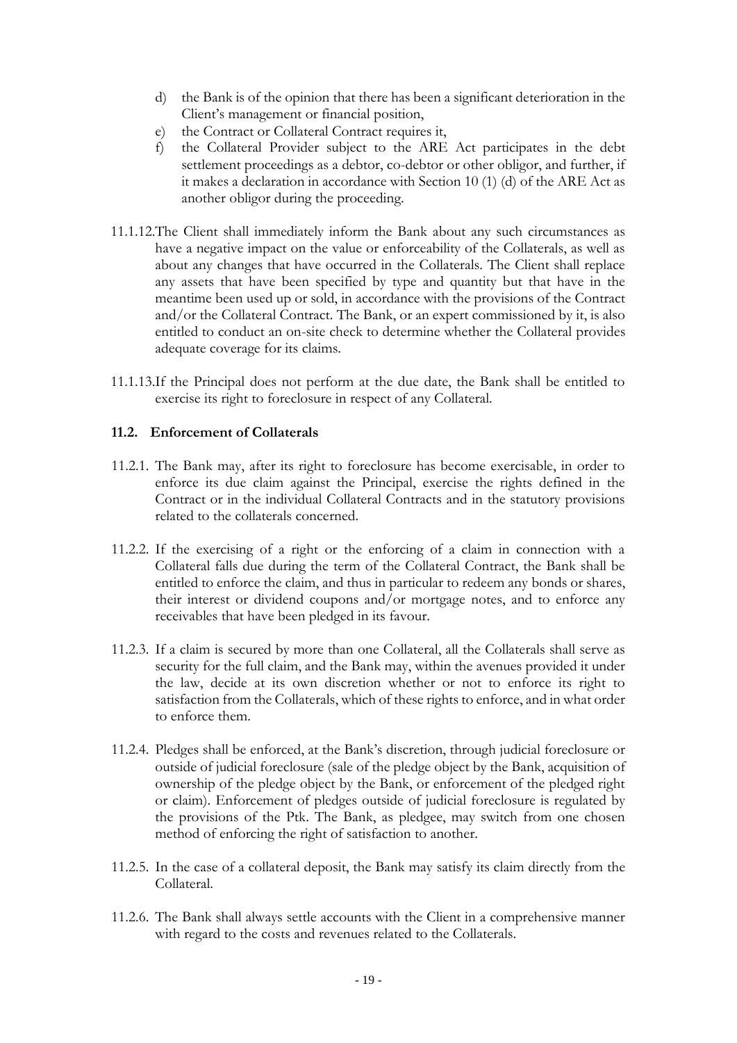- d) the Bank is of the opinion that there has been a significant deterioration in the Client's management or financial position,
- e) the Contract or Collateral Contract requires it,
- f) the Collateral Provider subject to the ARE Act participates in the debt settlement proceedings as a debtor, co-debtor or other obligor, and further, if it makes a declaration in accordance with Section 10 (1) (d) of the ARE Act as another obligor during the proceeding.
- 11.1.12.The Client shall immediately inform the Bank about any such circumstances as have a negative impact on the value or enforceability of the Collaterals, as well as about any changes that have occurred in the Collaterals. The Client shall replace any assets that have been specified by type and quantity but that have in the meantime been used up or sold, in accordance with the provisions of the Contract and/or the Collateral Contract. The Bank, or an expert commissioned by it, is also entitled to conduct an on-site check to determine whether the Collateral provides adequate coverage for its claims.
- 11.1.13.If the Principal does not perform at the due date, the Bank shall be entitled to exercise its right to foreclosure in respect of any Collateral.

#### <span id="page-18-0"></span>**11.2. Enforcement of Collaterals**

- 11.2.1. The Bank may, after its right to foreclosure has become exercisable, in order to enforce its due claim against the Principal, exercise the rights defined in the Contract or in the individual Collateral Contracts and in the statutory provisions related to the collaterals concerned.
- 11.2.2. If the exercising of a right or the enforcing of a claim in connection with a Collateral falls due during the term of the Collateral Contract, the Bank shall be entitled to enforce the claim, and thus in particular to redeem any bonds or shares, their interest or dividend coupons and/or mortgage notes, and to enforce any receivables that have been pledged in its favour.
- 11.2.3. If a claim is secured by more than one Collateral, all the Collaterals shall serve as security for the full claim, and the Bank may, within the avenues provided it under the law, decide at its own discretion whether or not to enforce its right to satisfaction from the Collaterals, which of these rights to enforce, and in what order to enforce them.
- 11.2.4. Pledges shall be enforced, at the Bank's discretion, through judicial foreclosure or outside of judicial foreclosure (sale of the pledge object by the Bank, acquisition of ownership of the pledge object by the Bank, or enforcement of the pledged right or claim). Enforcement of pledges outside of judicial foreclosure is regulated by the provisions of the Ptk. The Bank, as pledgee, may switch from one chosen method of enforcing the right of satisfaction to another.
- 11.2.5. In the case of a collateral deposit, the Bank may satisfy its claim directly from the Collateral.
- 11.2.6. The Bank shall always settle accounts with the Client in a comprehensive manner with regard to the costs and revenues related to the Collaterals.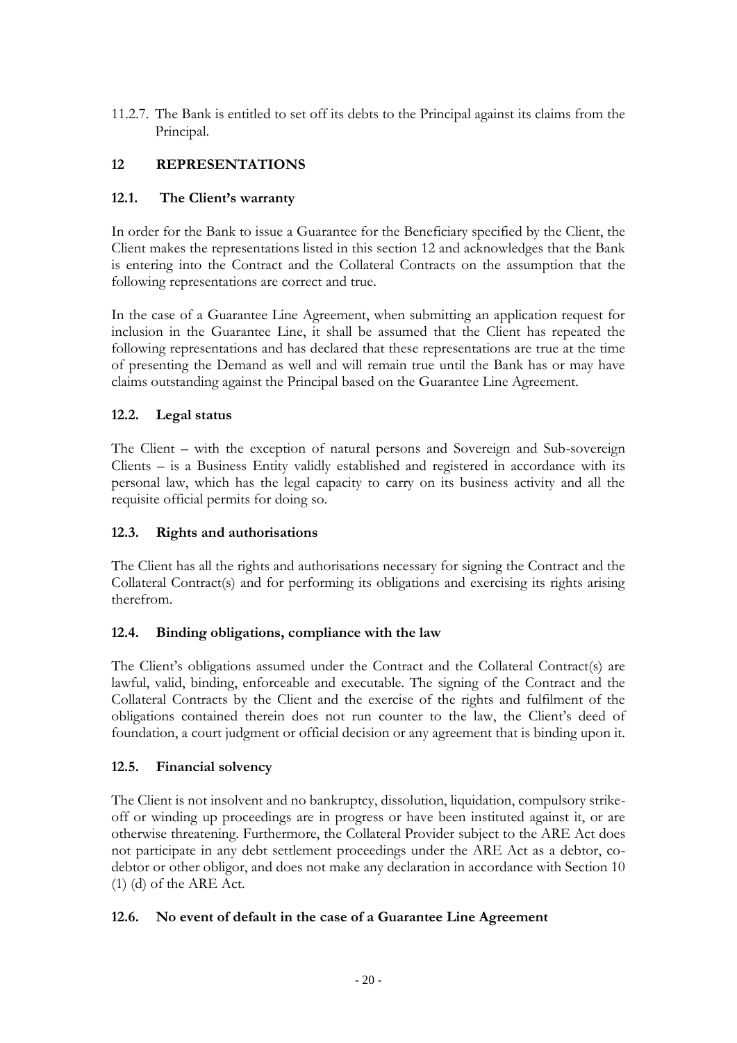11.2.7. The Bank is entitled to set off its debts to the Principal against its claims from the Principal.

# <span id="page-19-0"></span>**12 REPRESENTATIONS**

## <span id="page-19-1"></span>**12.1. The Client's warranty**

In order for the Bank to issue a Guarantee for the Beneficiary specified by the Client, the Client makes the representations listed in this section 12 and acknowledges that the Bank is entering into the Contract and the Collateral Contracts on the assumption that the following representations are correct and true.

In the case of a Guarantee Line Agreement, when submitting an application request for inclusion in the Guarantee Line, it shall be assumed that the Client has repeated the following representations and has declared that these representations are true at the time of presenting the Demand as well and will remain true until the Bank has or may have claims outstanding against the Principal based on the Guarantee Line Agreement.

# <span id="page-19-2"></span>**12.2. Legal status**

The Client – with the exception of natural persons and Sovereign and Sub-sovereign Clients – is a Business Entity validly established and registered in accordance with its personal law, which has the legal capacity to carry on its business activity and all the requisite official permits for doing so.

#### <span id="page-19-3"></span>**12.3. Rights and authorisations**

The Client has all the rights and authorisations necessary for signing the Contract and the Collateral Contract(s) and for performing its obligations and exercising its rights arising therefrom.

#### <span id="page-19-4"></span>**12.4. Binding obligations, compliance with the law**

The Client's obligations assumed under the Contract and the Collateral Contract(s) are lawful, valid, binding, enforceable and executable. The signing of the Contract and the Collateral Contracts by the Client and the exercise of the rights and fulfilment of the obligations contained therein does not run counter to the law, the Client's deed of foundation, a court judgment or official decision or any agreement that is binding upon it.

#### <span id="page-19-5"></span>**12.5. Financial solvency**

The Client is not insolvent and no bankruptcy, dissolution, liquidation, compulsory strikeoff or winding up proceedings are in progress or have been instituted against it, or are otherwise threatening. Furthermore, the Collateral Provider subject to the ARE Act does not participate in any debt settlement proceedings under the ARE Act as a debtor, codebtor or other obligor, and does not make any declaration in accordance with Section 10 (1) (d) of the ARE Act.

#### <span id="page-19-6"></span>**12.6. No event of default in the case of a Guarantee Line Agreement**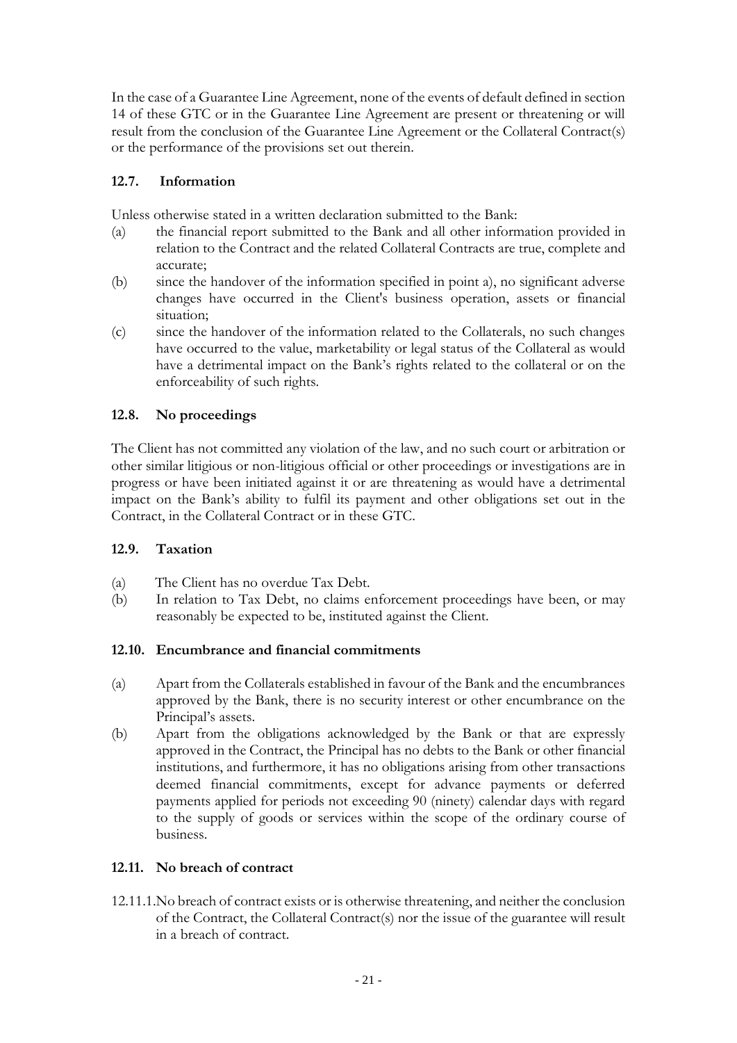In the case of a Guarantee Line Agreement, none of the events of default defined in section 14 of these GTC or in the Guarantee Line Agreement are present or threatening or will result from the conclusion of the Guarantee Line Agreement or the Collateral Contract(s) or the performance of the provisions set out therein.

# <span id="page-20-0"></span>**12.7. Information**

Unless otherwise stated in a written declaration submitted to the Bank:

- (a) the financial report submitted to the Bank and all other information provided in relation to the Contract and the related Collateral Contracts are true, complete and accurate;
- (b) since the handover of the information specified in point a), no significant adverse changes have occurred in the Client's business operation, assets or financial situation;
- (c) since the handover of the information related to the Collaterals, no such changes have occurred to the value, marketability or legal status of the Collateral as would have a detrimental impact on the Bank's rights related to the collateral or on the enforceability of such rights.

# <span id="page-20-1"></span>**12.8. No proceedings**

The Client has not committed any violation of the law, and no such court or arbitration or other similar litigious or non-litigious official or other proceedings or investigations are in progress or have been initiated against it or are threatening as would have a detrimental impact on the Bank's ability to fulfil its payment and other obligations set out in the Contract, in the Collateral Contract or in these GTC.

# <span id="page-20-2"></span>**12.9. Taxation**

- (a) The Client has no overdue Tax Debt.
- (b) In relation to Tax Debt, no claims enforcement proceedings have been, or may reasonably be expected to be, instituted against the Client.

# <span id="page-20-3"></span>**12.10. Encumbrance and financial commitments**

- (a) Apart from the Collaterals established in favour of the Bank and the encumbrances approved by the Bank, there is no security interest or other encumbrance on the Principal's assets.
- (b) Apart from the obligations acknowledged by the Bank or that are expressly approved in the Contract, the Principal has no debts to the Bank or other financial institutions, and furthermore, it has no obligations arising from other transactions deemed financial commitments, except for advance payments or deferred payments applied for periods not exceeding 90 (ninety) calendar days with regard to the supply of goods or services within the scope of the ordinary course of business.

# <span id="page-20-4"></span>**12.11. No breach of contract**

12.11.1.No breach of contract exists or is otherwise threatening, and neither the conclusion of the Contract, the Collateral Contract(s) nor the issue of the guarantee will result in a breach of contract.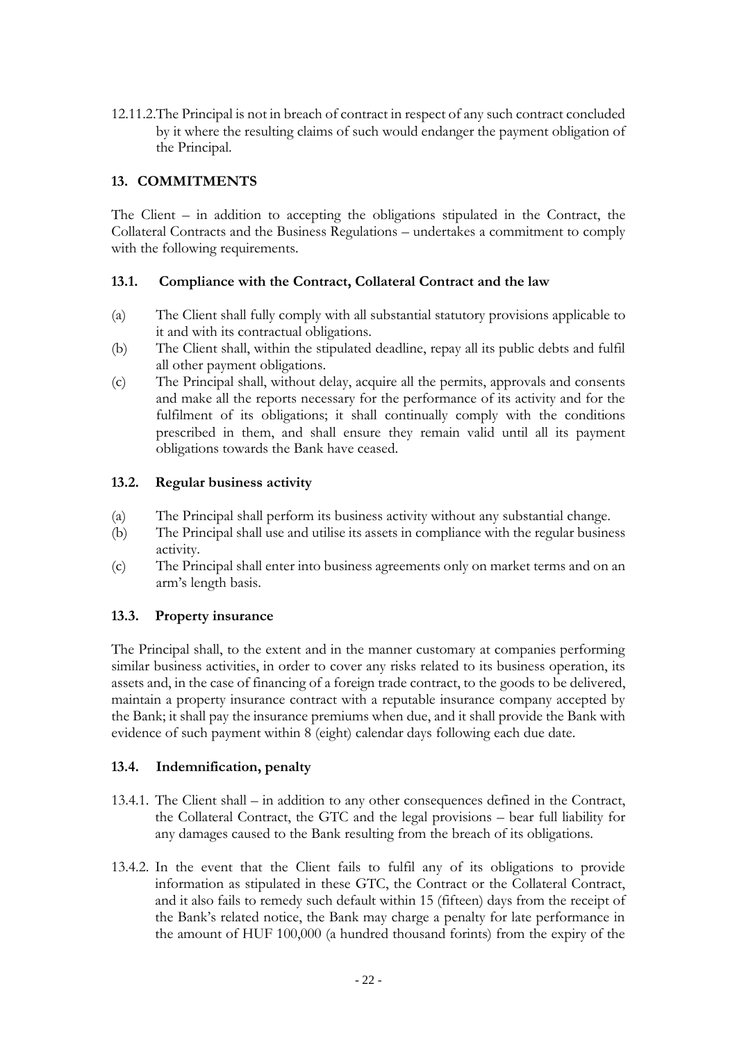12.11.2.The Principal is not in breach of contract in respect of any such contract concluded by it where the resulting claims of such would endanger the payment obligation of the Principal.

# <span id="page-21-0"></span>**13. COMMITMENTS**

The Client – in addition to accepting the obligations stipulated in the Contract, the Collateral Contracts and the Business Regulations – undertakes a commitment to comply with the following requirements.

# <span id="page-21-1"></span>**13.1. Compliance with the Contract, Collateral Contract and the law**

- (a) The Client shall fully comply with all substantial statutory provisions applicable to it and with its contractual obligations.
- (b) The Client shall, within the stipulated deadline, repay all its public debts and fulfil all other payment obligations.
- (c) The Principal shall, without delay, acquire all the permits, approvals and consents and make all the reports necessary for the performance of its activity and for the fulfilment of its obligations; it shall continually comply with the conditions prescribed in them, and shall ensure they remain valid until all its payment obligations towards the Bank have ceased.

## <span id="page-21-2"></span>**13.2. Regular business activity**

- (a) The Principal shall perform its business activity without any substantial change.
- (b) The Principal shall use and utilise its assets in compliance with the regular business activity.
- (c) The Principal shall enter into business agreements only on market terms and on an arm's length basis.

# <span id="page-21-3"></span>**13.3. Property insurance**

The Principal shall, to the extent and in the manner customary at companies performing similar business activities, in order to cover any risks related to its business operation, its assets and, in the case of financing of a foreign trade contract, to the goods to be delivered, maintain a property insurance contract with a reputable insurance company accepted by the Bank; it shall pay the insurance premiums when due, and it shall provide the Bank with evidence of such payment within 8 (eight) calendar days following each due date.

#### <span id="page-21-4"></span>**13.4. Indemnification, penalty**

- 13.4.1. The Client shall in addition to any other consequences defined in the Contract, the Collateral Contract, the GTC and the legal provisions – bear full liability for any damages caused to the Bank resulting from the breach of its obligations.
- 13.4.2. In the event that the Client fails to fulfil any of its obligations to provide information as stipulated in these GTC, the Contract or the Collateral Contract, and it also fails to remedy such default within 15 (fifteen) days from the receipt of the Bank's related notice, the Bank may charge a penalty for late performance in the amount of HUF 100,000 (a hundred thousand forints) from the expiry of the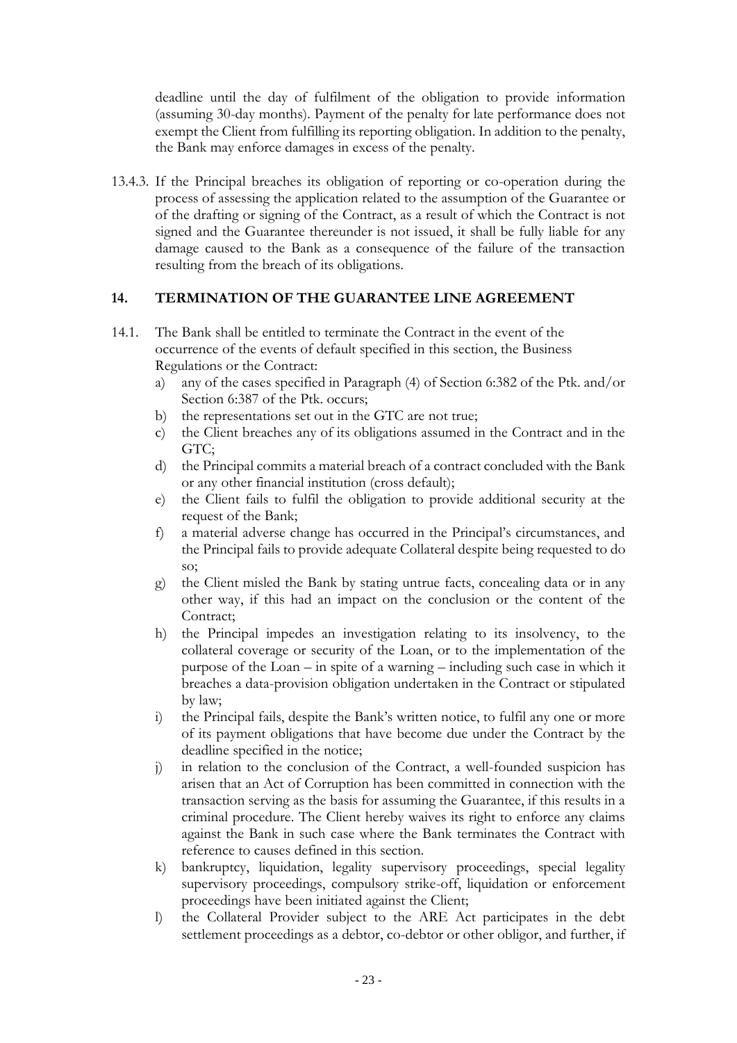deadline until the day of fulfilment of the obligation to provide information (assuming 30-day months). Payment of the penalty for late performance does not exempt the Client from fulfilling its reporting obligation. In addition to the penalty, the Bank may enforce damages in excess of the penalty.

13.4.3. If the Principal breaches its obligation of reporting or co-operation during the process of assessing the application related to the assumption of the Guarantee or of the drafting or signing of the Contract, as a result of which the Contract is not signed and the Guarantee thereunder is not issued, it shall be fully liable for any damage caused to the Bank as a consequence of the failure of the transaction resulting from the breach of its obligations.

# <span id="page-22-0"></span>**14. TERMINATION OF THE GUARANTEE LINE AGREEMENT**

- 14.1. The Bank shall be entitled to terminate the Contract in the event of the occurrence of the events of default specified in this section, the Business Regulations or the Contract:
	- a) any of the cases specified in Paragraph (4) of Section 6:382 of the Ptk. and/or Section 6:387 of the Ptk. occurs;
	- b) the representations set out in the GTC are not true;
	- c) the Client breaches any of its obligations assumed in the Contract and in the GTC;
	- d) the Principal commits a material breach of a contract concluded with the Bank or any other financial institution (cross default);
	- e) the Client fails to fulfil the obligation to provide additional security at the request of the Bank;
	- f) a material adverse change has occurred in the Principal's circumstances, and the Principal fails to provide adequate Collateral despite being requested to do so;
	- g) the Client misled the Bank by stating untrue facts, concealing data or in any other way, if this had an impact on the conclusion or the content of the Contract;
	- h) the Principal impedes an investigation relating to its insolvency, to the collateral coverage or security of the Loan, or to the implementation of the purpose of the Loan – in spite of a warning – including such case in which it breaches a data-provision obligation undertaken in the Contract or stipulated by law;
	- i) the Principal fails, despite the Bank's written notice, to fulfil any one or more of its payment obligations that have become due under the Contract by the deadline specified in the notice;
	- j) in relation to the conclusion of the Contract, a well-founded suspicion has arisen that an Act of Corruption has been committed in connection with the transaction serving as the basis for assuming the Guarantee, if this results in a criminal procedure. The Client hereby waives its right to enforce any claims against the Bank in such case where the Bank terminates the Contract with reference to causes defined in this section.
	- k) bankruptcy, liquidation, legality supervisory proceedings, special legality supervisory proceedings, compulsory strike-off, liquidation or enforcement proceedings have been initiated against the Client;
	- l) the Collateral Provider subject to the ARE Act participates in the debt settlement proceedings as a debtor, co-debtor or other obligor, and further, if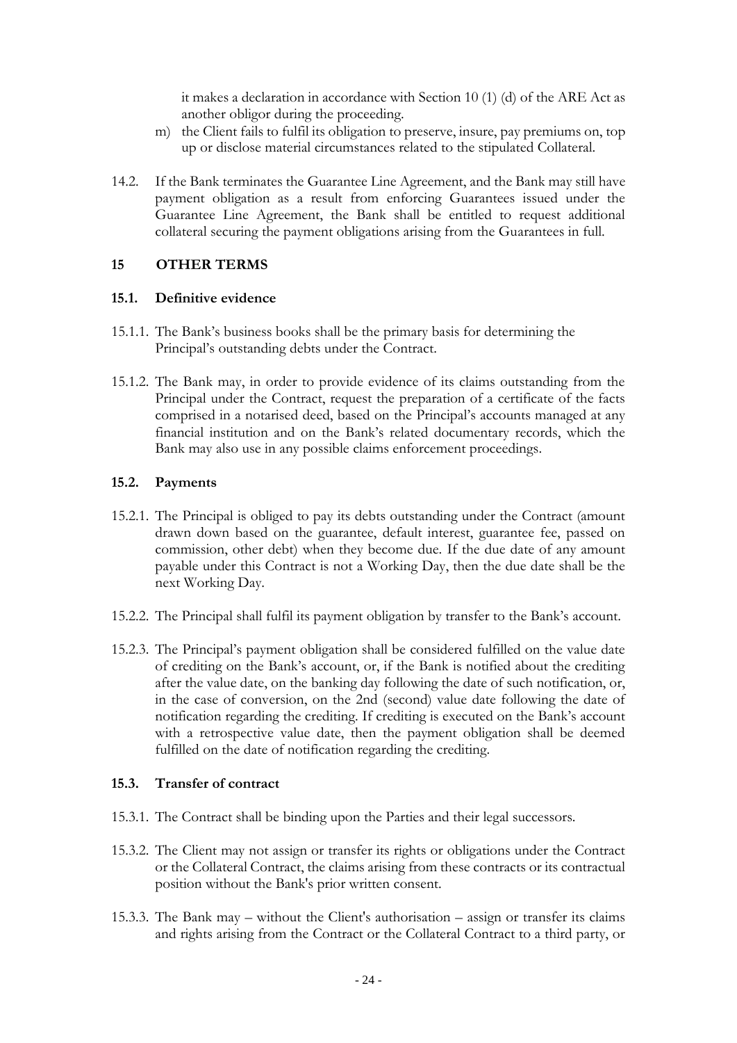it makes a declaration in accordance with Section 10 (1) (d) of the ARE Act as another obligor during the proceeding.

- m) the Client fails to fulfil its obligation to preserve, insure, pay premiums on, top up or disclose material circumstances related to the stipulated Collateral.
- 14.2. If the Bank terminates the Guarantee Line Agreement, and the Bank may still have payment obligation as a result from enforcing Guarantees issued under the Guarantee Line Agreement, the Bank shall be entitled to request additional collateral securing the payment obligations arising from the Guarantees in full.

## <span id="page-23-0"></span>**15 OTHER TERMS**

#### <span id="page-23-1"></span>**15.1. Definitive evidence**

- 15.1.1. The Bank's business books shall be the primary basis for determining the Principal's outstanding debts under the Contract.
- 15.1.2. The Bank may, in order to provide evidence of its claims outstanding from the Principal under the Contract, request the preparation of a certificate of the facts comprised in a notarised deed, based on the Principal's accounts managed at any financial institution and on the Bank's related documentary records, which the Bank may also use in any possible claims enforcement proceedings.

#### <span id="page-23-2"></span>**15.2. Payments**

- 15.2.1. The Principal is obliged to pay its debts outstanding under the Contract (amount drawn down based on the guarantee, default interest, guarantee fee, passed on commission, other debt) when they become due. If the due date of any amount payable under this Contract is not a Working Day, then the due date shall be the next Working Day.
- 15.2.2. The Principal shall fulfil its payment obligation by transfer to the Bank's account.
- 15.2.3. The Principal's payment obligation shall be considered fulfilled on the value date of crediting on the Bank's account, or, if the Bank is notified about the crediting after the value date, on the banking day following the date of such notification, or, in the case of conversion, on the 2nd (second) value date following the date of notification regarding the crediting. If crediting is executed on the Bank's account with a retrospective value date, then the payment obligation shall be deemed fulfilled on the date of notification regarding the crediting.

#### <span id="page-23-3"></span>**15.3. Transfer of contract**

- 15.3.1. The Contract shall be binding upon the Parties and their legal successors.
- 15.3.2. The Client may not assign or transfer its rights or obligations under the Contract or the Collateral Contract, the claims arising from these contracts or its contractual position without the Bank's prior written consent.
- 15.3.3. The Bank may without the Client's authorisation assign or transfer its claims and rights arising from the Contract or the Collateral Contract to a third party, or